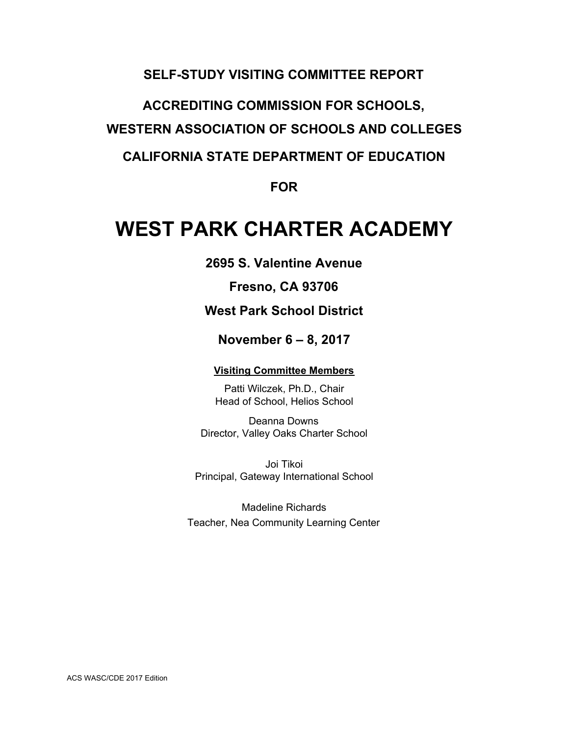## **SELF-STUDY VISITING COMMITTEE REPORT**

# **ACCREDITING COMMISSION FOR SCHOOLS, WESTERN ASSOCIATION OF SCHOOLS AND COLLEGES**

## **CALIFORNIA STATE DEPARTMENT OF EDUCATION**

**FOR**

## **WEST PARK CHARTER ACADEMY**

**2695 S. Valentine Avenue**

## **Fresno, CA 93706**

## **West Park School District**

## **November 6 – 8, 2017**

## **Visiting Committee Members**

Patti Wilczek, Ph.D., Chair Head of School, Helios School

Deanna Downs Director, Valley Oaks Charter School

Joi Tikoi Principal, Gateway International School

Madeline Richards Teacher, Nea Community Learning Center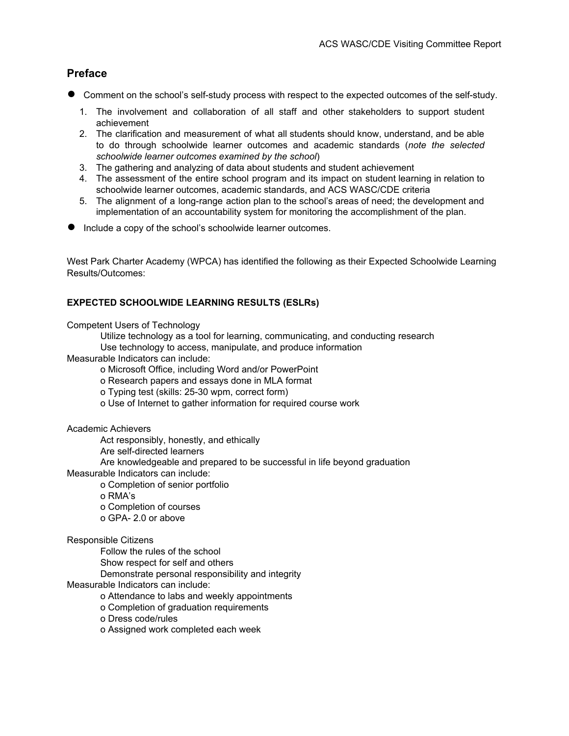## **Preface**

- Comment on the school's self-study process with respect to the expected outcomes of the self-study.
	- 1. The involvement and collaboration of all staff and other stakeholders to support student achievement
	- 2. The clarification and measurement of what all students should know, understand, and be able to do through schoolwide learner outcomes and academic standards (*note the selected schoolwide learner outcomes examined by the school*)
	- 3. The gathering and analyzing of data about students and student achievement
	- 4. The assessment of the entire school program and its impact on student learning in relation to schoolwide learner outcomes, academic standards, and ACS WASC/CDE criteria
	- 5. The alignment of a long-range action plan to the school's areas of need; the development and implementation of an accountability system for monitoring the accomplishment of the plan.
- Include a copy of the school's schoolwide learner outcomes.

West Park Charter Academy (WPCA) has identified the following as their Expected Schoolwide Learning Results/Outcomes:

#### **EXPECTED SCHOOLWIDE LEARNING RESULTS (ESLRs)**

Competent Users of Technology

Utilize technology as a tool for learning, communicating, and conducting research

Use technology to access, manipulate, and produce information

Measurable Indicators can include:

o Microsoft Office, including Word and/or PowerPoint

o Research papers and essays done in MLA format

o Typing test (skills: 25-30 wpm, correct form)

o Use of Internet to gather information for required course work

Academic Achievers

Act responsibly, honestly, and ethically

Are self-directed learners

Are knowledgeable and prepared to be successful in life beyond graduation

Measurable Indicators can include:

o Completion of senior portfolio

o RMA's

o Completion of courses

o GPA- 2.0 or above

Responsible Citizens

Follow the rules of the school

Show respect for self and others

Demonstrate personal responsibility and integrity

Measurable Indicators can include:

o Attendance to labs and weekly appointments

o Completion of graduation requirements

o Dress code/rules

o Assigned work completed each week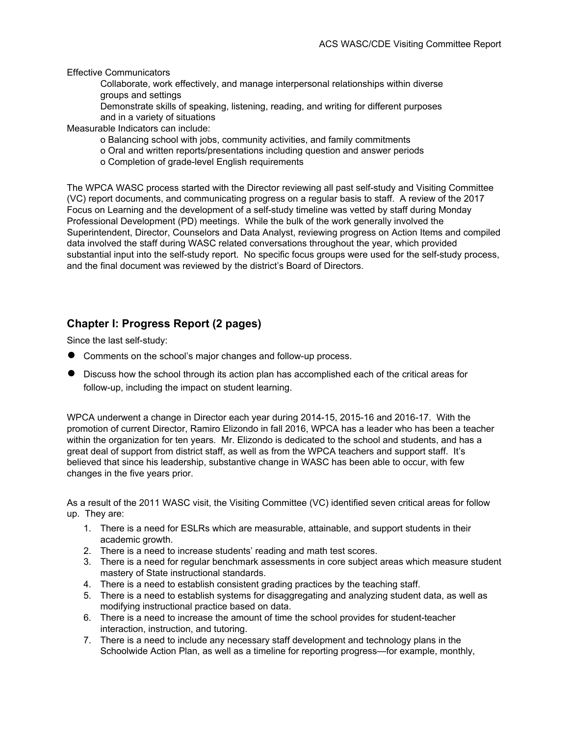Effective Communicators

- Collaborate, work effectively, and manage interpersonal relationships within diverse groups and settings
- Demonstrate skills of speaking, listening, reading, and writing for different purposes and in a variety of situations

Measurable Indicators can include:

- o Balancing school with jobs, community activities, and family commitments
- o Oral and written reports/presentations including question and answer periods
- o Completion of grade-level English requirements

The WPCA WASC process started with the Director reviewing all past self-study and Visiting Committee (VC) report documents, and communicating progress on a regular basis to staff. A review of the 2017 Focus on Learning and the development of a self-study timeline was vetted by staff during Monday Professional Development (PD) meetings. While the bulk of the work generally involved the Superintendent, Director, Counselors and Data Analyst, reviewing progress on Action Items and compiled data involved the staff during WASC related conversations throughout the year, which provided substantial input into the self-study report. No specific focus groups were used for the self-study process, and the final document was reviewed by the district's Board of Directors.

## **Chapter I: Progress Report (2 pages)**

Since the last self-study:

- Comments on the school's major changes and follow-up process.
- Discuss how the school through its action plan has accomplished each of the critical areas for follow-up, including the impact on student learning.

WPCA underwent a change in Director each year during 2014-15, 2015-16 and 2016-17. With the promotion of current Director, Ramiro Elizondo in fall 2016, WPCA has a leader who has been a teacher within the organization for ten years. Mr. Elizondo is dedicated to the school and students, and has a great deal of support from district staff, as well as from the WPCA teachers and support staff. It's believed that since his leadership, substantive change in WASC has been able to occur, with few changes in the five years prior.

As a result of the 2011 WASC visit, the Visiting Committee (VC) identified seven critical areas for follow up. They are:

- 1. There is a need for ESLRs which are measurable, attainable, and support students in their academic growth.
- 2. There is a need to increase students' reading and math test scores.
- 3. There is a need for regular benchmark assessments in core subject areas which measure student mastery of State instructional standards.
- 4. There is a need to establish consistent grading practices by the teaching staff.
- 5. There is a need to establish systems for disaggregating and analyzing student data, as well as modifying instructional practice based on data.
- 6. There is a need to increase the amount of time the school provides for student-teacher interaction, instruction, and tutoring.
- 7. There is a need to include any necessary staff development and technology plans in the Schoolwide Action Plan, as well as a timeline for reporting progress—for example, monthly,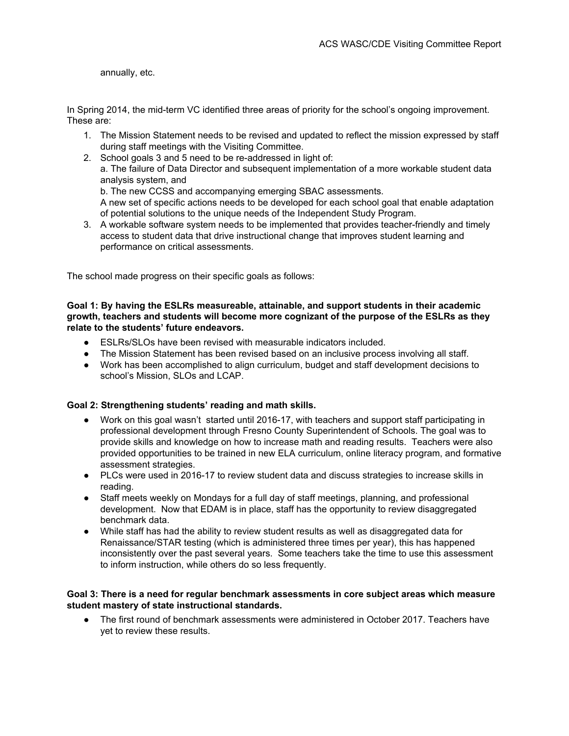annually, etc.

In Spring 2014, the mid-term VC identified three areas of priority for the school's ongoing improvement. These are:

- 1. The Mission Statement needs to be revised and updated to reflect the mission expressed by staff during staff meetings with the Visiting Committee.
- 2. School goals 3 and 5 need to be re-addressed in light of: a. The failure of Data Director and subsequent implementation of a more workable student data analysis system, and b. The new CCSS and accompanying emerging SBAC assessments. A new set of specific actions needs to be developed for each school goal that enable adaptation

of potential solutions to the unique needs of the Independent Study Program.

3. A workable software system needs to be implemented that provides teacher-friendly and timely access to student data that drive instructional change that improves student learning and performance on critical assessments.

The school made progress on their specific goals as follows:

#### **Goal 1: By having the ESLRs measureable, attainable, and support students in their academic growth, teachers and students will become more cognizant of the purpose of the ESLRs as they relate to the students' future endeavors.**

- ESLRs/SLOs have been revised with measurable indicators included.
- The Mission Statement has been revised based on an inclusive process involving all staff.
- Work has been accomplished to align curriculum, budget and staff development decisions to school's Mission, SLOs and LCAP.

#### **Goal 2: Strengthening students' reading and math skills.**

- Work on this goal wasn't started until 2016-17, with teachers and support staff participating in professional development through Fresno County Superintendent of Schools. The goal was to provide skills and knowledge on how to increase math and reading results. Teachers were also provided opportunities to be trained in new ELA curriculum, online literacy program, and formative assessment strategies.
- PLCs were used in 2016-17 to review student data and discuss strategies to increase skills in reading.
- Staff meets weekly on Mondays for a full day of staff meetings, planning, and professional development. Now that EDAM is in place, staff has the opportunity to review disaggregated benchmark data.
- While staff has had the ability to review student results as well as disaggregated data for Renaissance/STAR testing (which is administered three times per year), this has happened inconsistently over the past several years. Some teachers take the time to use this assessment to inform instruction, while others do so less frequently.

#### **Goal 3: There is a need for regular benchmark assessments in core subject areas which measure student mastery of state instructional standards.**

● The first round of benchmark assessments were administered in October 2017. Teachers have yet to review these results.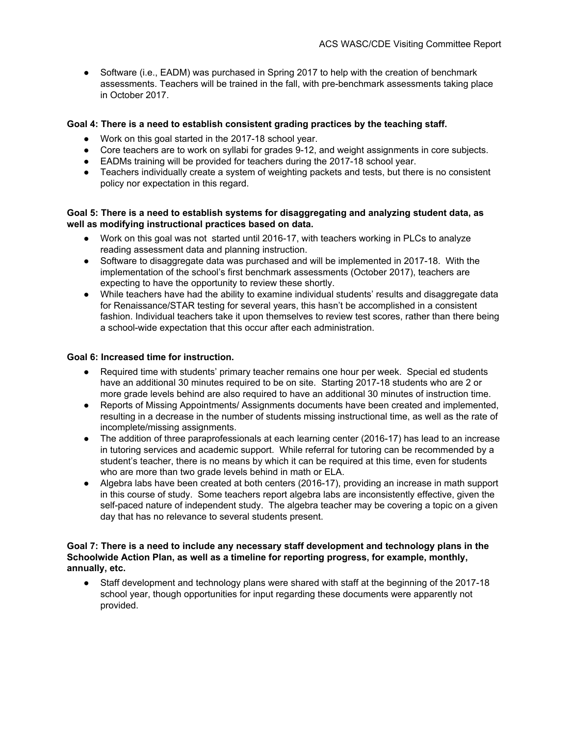• Software (i.e., EADM) was purchased in Spring 2017 to help with the creation of benchmark assessments. Teachers will be trained in the fall, with pre-benchmark assessments taking place in October 2017.

#### **Goal 4: There is a need to establish consistent grading practices by the teaching staff.**

- Work on this goal started in the 2017-18 school year.
- Core teachers are to work on syllabi for grades 9-12, and weight assignments in core subjects.
- EADMs training will be provided for teachers during the 2017-18 school year.
- Teachers individually create a system of weighting packets and tests, but there is no consistent policy nor expectation in this regard.

#### **Goal 5: There is a need to establish systems for disaggregating and analyzing student data, as well as modifying instructional practices based on data.**

- Work on this goal was not started until 2016-17, with teachers working in PLCs to analyze reading assessment data and planning instruction.
- Software to disaggregate data was purchased and will be implemented in 2017-18. With the implementation of the school's first benchmark assessments (October 2017), teachers are expecting to have the opportunity to review these shortly.
- While teachers have had the ability to examine individual students' results and disaggregate data for Renaissance/STAR testing for several years, this hasn't be accomplished in a consistent fashion. Individual teachers take it upon themselves to review test scores, rather than there being a school-wide expectation that this occur after each administration.

#### **Goal 6: Increased time for instruction.**

- Required time with students' primary teacher remains one hour per week. Special ed students have an additional 30 minutes required to be on site. Starting 2017-18 students who are 2 or more grade levels behind are also required to have an additional 30 minutes of instruction time.
- Reports of Missing Appointments/ Assignments documents have been created and implemented, resulting in a decrease in the number of students missing instructional time, as well as the rate of incomplete/missing assignments.
- The addition of three paraprofessionals at each learning center (2016-17) has lead to an increase in tutoring services and academic support. While referral for tutoring can be recommended by a student's teacher, there is no means by which it can be required at this time, even for students who are more than two grade levels behind in math or ELA.
- Algebra labs have been created at both centers (2016-17), providing an increase in math support in this course of study. Some teachers report algebra labs are inconsistently effective, given the self-paced nature of independent study. The algebra teacher may be covering a topic on a given day that has no relevance to several students present.

#### **Goal 7: There is a need to include any necessary staff development and technology plans in the Schoolwide Action Plan, as well as a timeline for reporting progress, for example, monthly, annually, etc.**

● Staff development and technology plans were shared with staff at the beginning of the 2017-18 school year, though opportunities for input regarding these documents were apparently not provided.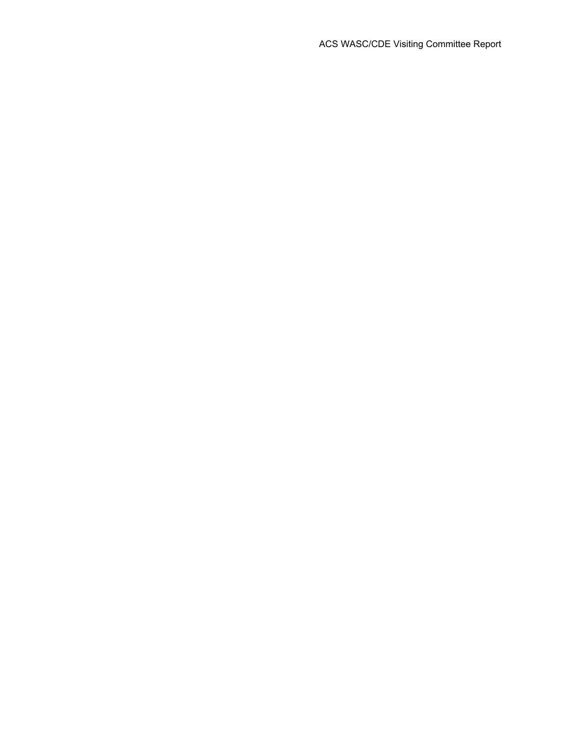ACS WASC/CDE Visiting Committee Report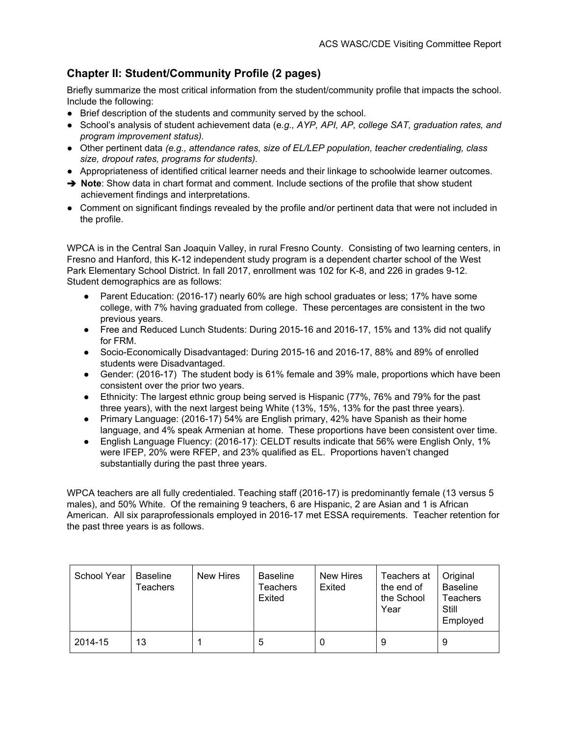## **Chapter II: Student/Community Profile (2 pages)**

Briefly summarize the most critical information from the student/community profile that impacts the school. Include the following:

- Brief description of the students and community served by the school.
- School's analysis of student achievement data (e*.g., AYP, API, AP, college SAT, graduation rates, and program improvement status).*
- Other pertinent data *(e.g., attendance rates, size of EL/LEP population, teacher credentialing, class size, dropout rates, programs for students).*
- Appropriateness of identified critical learner needs and their linkage to schoolwide learner outcomes.
- ➔ **Note**: Show data in chart format and comment. Include sections of the profile that show student achievement findings and interpretations.
- Comment on significant findings revealed by the profile and/or pertinent data that were not included in the profile.

WPCA is in the Central San Joaquin Valley, in rural Fresno County. Consisting of two learning centers, in Fresno and Hanford, this K-12 independent study program is a dependent charter school of the West Park Elementary School District. In fall 2017, enrollment was 102 for K-8, and 226 in grades 9-12. Student demographics are as follows:

- Parent Education: (2016-17) nearly 60% are high school graduates or less; 17% have some college, with 7% having graduated from college. These percentages are consistent in the two previous years.
- Free and Reduced Lunch Students: During 2015-16 and 2016-17, 15% and 13% did not qualify for FRM.
- Socio-Economically Disadvantaged: During 2015-16 and 2016-17, 88% and 89% of enrolled students were Disadvantaged.
- Gender: (2016-17) The student body is 61% female and 39% male, proportions which have been consistent over the prior two years.
- Ethnicity: The largest ethnic group being served is Hispanic (77%, 76% and 79% for the past three years), with the next largest being White (13%, 15%, 13% for the past three years).
- Primary Language: (2016-17) 54% are English primary, 42% have Spanish as their home language, and 4% speak Armenian at home. These proportions have been consistent over time.
- English Language Fluency: (2016-17): CELDT results indicate that 56% were English Only, 1% were IFEP, 20% were RFEP, and 23% qualified as EL. Proportions haven't changed substantially during the past three years.

WPCA teachers are all fully credentialed. Teaching staff (2016-17) is predominantly female (13 versus 5 males), and 50% White. Of the remaining 9 teachers, 6 are Hispanic, 2 are Asian and 1 is African American. All six paraprofessionals employed in 2016-17 met ESSA requirements. Teacher retention for the past three years is as follows.

| School Year | <b>Baseline</b><br>Teachers | New Hires | <b>Baseline</b><br>Teachers<br>Exited | New Hires<br>Exited | Teachers at<br>the end of<br>the School<br>Year | Original<br><b>Baseline</b><br><b>Teachers</b><br>Still<br>Employed |
|-------------|-----------------------------|-----------|---------------------------------------|---------------------|-------------------------------------------------|---------------------------------------------------------------------|
| 2014-15     | 13                          |           | 5                                     | U                   | 9                                               | 9                                                                   |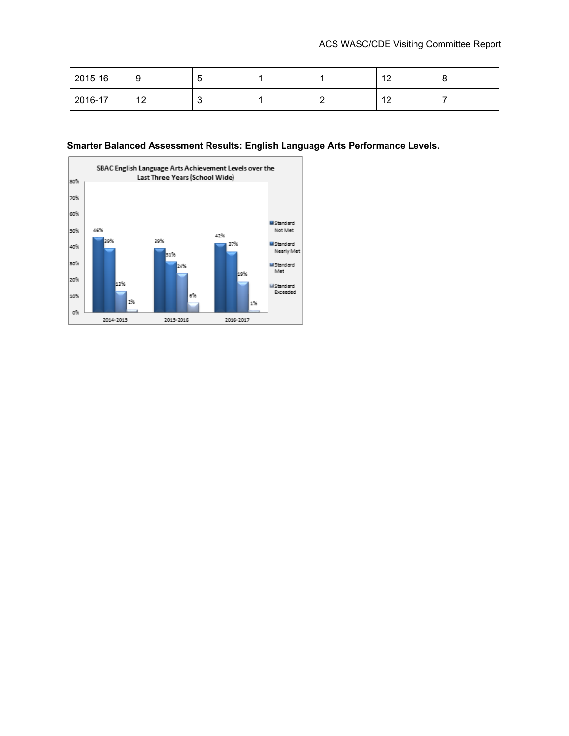| 2015-16 | 9                                    | ħ<br>ັ |   | $\sim$<br>. .                 |  |
|---------|--------------------------------------|--------|---|-------------------------------|--|
| 2016-17 | 10<br>12<br>$\overline{\phantom{0}}$ | ╭<br>ັ | - | $\overline{10}$<br>. <u>.</u> |  |

#### **Smarter Balanced Assessment Results: English Language Arts Performance Levels.**

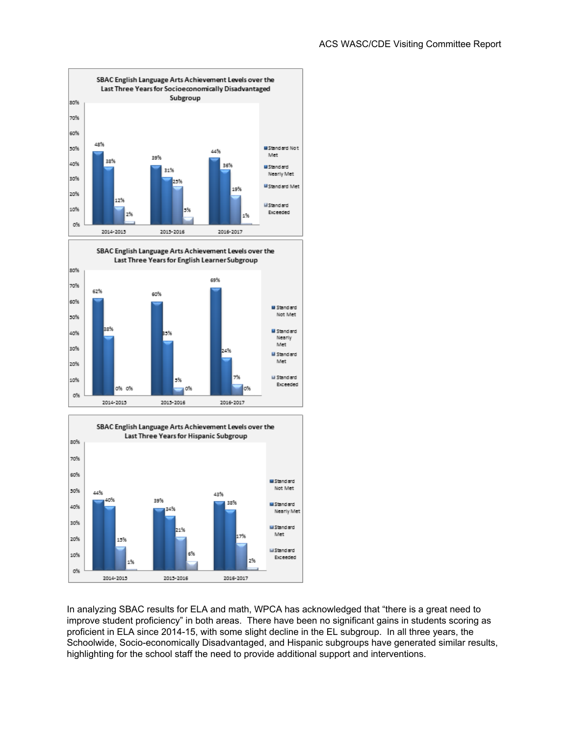







In analyzing SBAC results for ELA and math, WPCA has acknowledged that "there is a great need to improve student proficiency" in both areas. There have been no significant gains in students scoring as proficient in ELA since 2014-15, with some slight decline in the EL subgroup. In all three years, the Schoolwide, Socio-economically Disadvantaged, and Hispanic subgroups have generated similar results, highlighting for the school staff the need to provide additional support and interventions.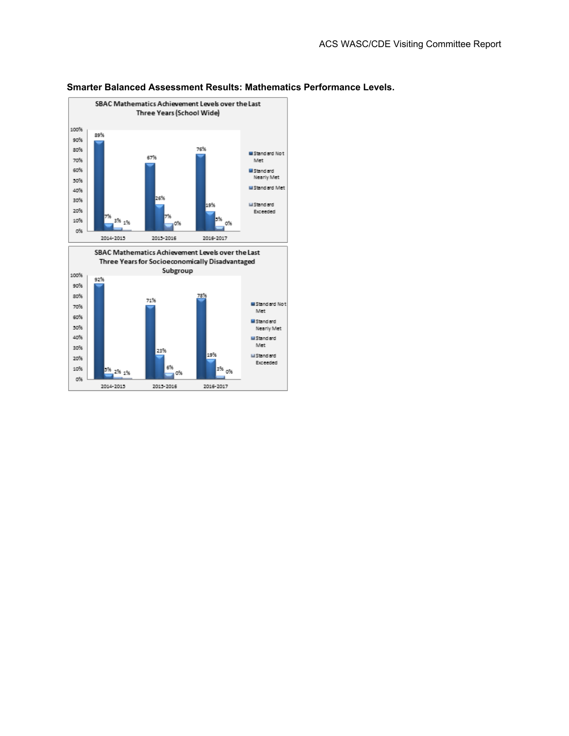

2015-2016

2016-2017

2014-2015

#### **Smarter Balanced Assessment Results: Mathematics Performance Levels.**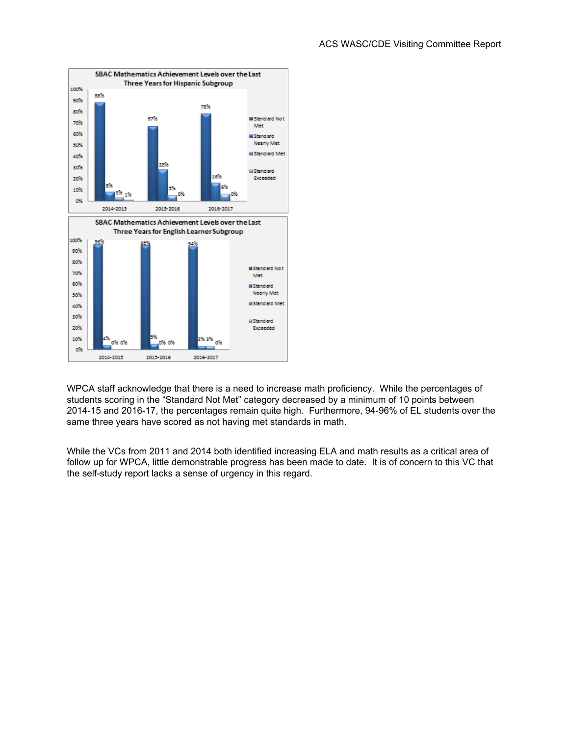

WPCA staff acknowledge that there is a need to increase math proficiency. While the percentages of students scoring in the "Standard Not Met" category decreased by a minimum of 10 points between 2014-15 and 2016-17, the percentages remain quite high. Furthermore, 94-96% of EL students over the same three years have scored as not having met standards in math.

While the VCs from 2011 and 2014 both identified increasing ELA and math results as a critical area of follow up for WPCA, little demonstrable progress has been made to date. It is of concern to this VC that the self-study report lacks a sense of urgency in this regard.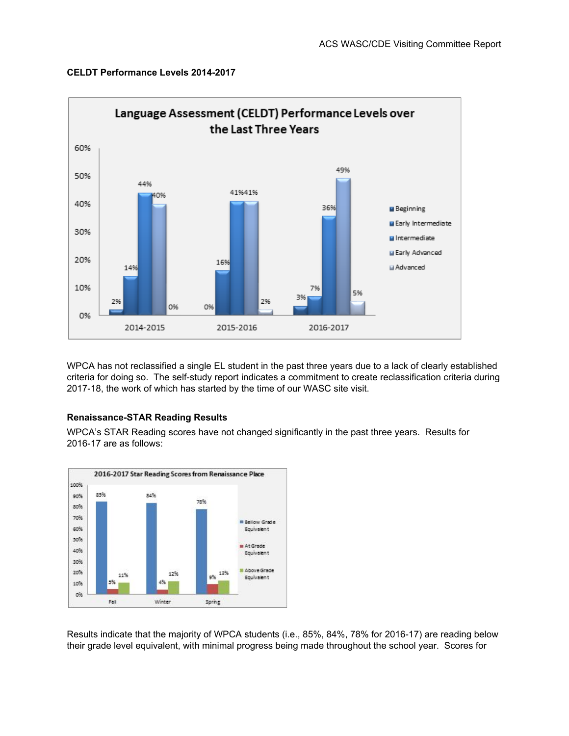



WPCA has not reclassified a single EL student in the past three years due to a lack of clearly established criteria for doing so. The self-study report indicates a commitment to create reclassification criteria during 2017-18, the work of which has started by the time of our WASC site visit.

#### **Renaissance-STAR Reading Results**

WPCA's STAR Reading scores have not changed significantly in the past three years. Results for 2016-17 are as follows:



Results indicate that the majority of WPCA students (i.e., 85%, 84%, 78% for 2016-17) are reading below their grade level equivalent, with minimal progress being made throughout the school year. Scores for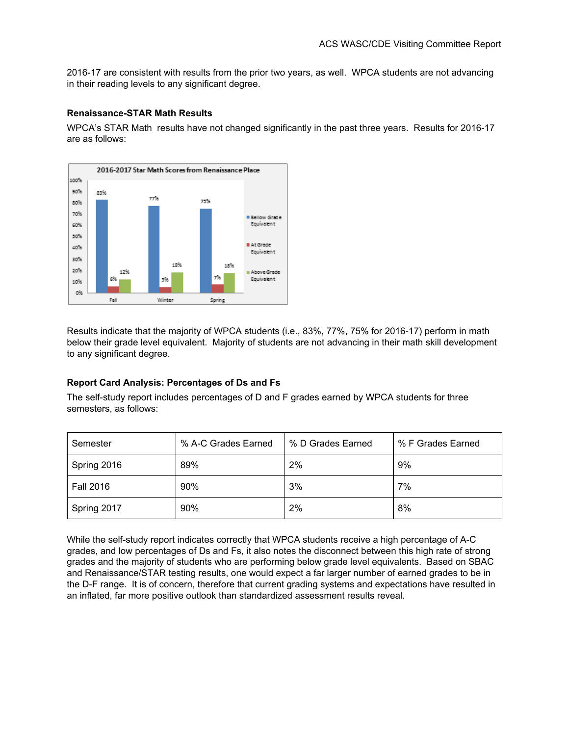2016-17 are consistent with results from the prior two years, as well. WPCA students are not advancing in their reading levels to any significant degree.

#### **Renaissance-STAR Math Results**

WPCA's STAR Math results have not changed significantly in the past three years. Results for 2016-17 are as follows:

![](_page_12_Figure_4.jpeg)

Results indicate that the majority of WPCA students (i.e., 83%, 77%, 75% for 2016-17) perform in math below their grade level equivalent. Majority of students are not advancing in their math skill development to any significant degree.

#### **Report Card Analysis: Percentages of Ds and Fs**

The self-study report includes percentages of D and F grades earned by WPCA students for three semesters, as follows:

| Semester         | % A-C Grades Earned | % D Grades Earned | % F Grades Earned |
|------------------|---------------------|-------------------|-------------------|
| Spring 2016      | 89%                 | 2%                | 9%                |
| <b>Fall 2016</b> | 90%                 | 3%                | 7%                |
| Spring 2017      | 90%                 | 2%                | 8%                |

While the self-study report indicates correctly that WPCA students receive a high percentage of A-C grades, and low percentages of Ds and Fs, it also notes the disconnect between this high rate of strong grades and the majority of students who are performing below grade level equivalents. Based on SBAC and Renaissance/STAR testing results, one would expect a far larger number of earned grades to be in the D-F range. It is of concern, therefore that current grading systems and expectations have resulted in an inflated, far more positive outlook than standardized assessment results reveal.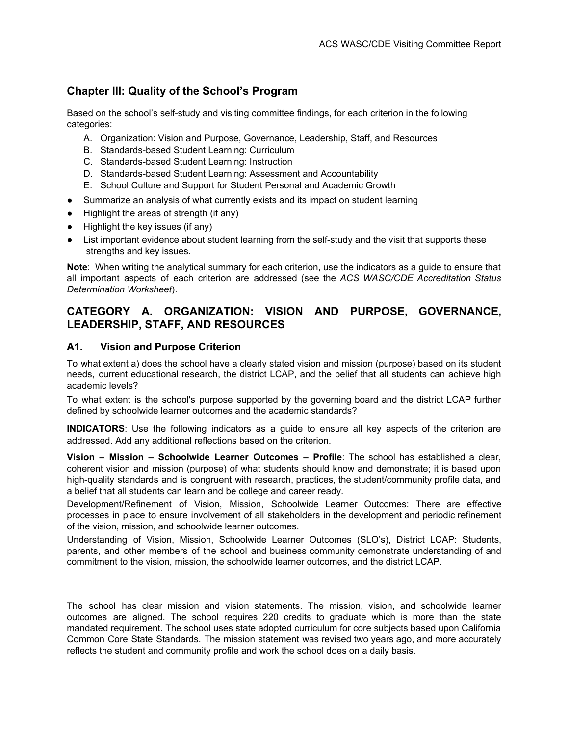## **Chapter III: Quality of the School's Program**

Based on the school's self-study and visiting committee findings, for each criterion in the following categories:

- A. Organization: Vision and Purpose, Governance, Leadership, Staff, and Resources
- B. Standards-based Student Learning: Curriculum
- C. Standards-based Student Learning: Instruction
- D. Standards-based Student Learning: Assessment and Accountability
- E. School Culture and Support for Student Personal and Academic Growth
- Summarize an analysis of what currently exists and its impact on student learning
- Highlight the areas of strength (if any)
- Highlight the key issues (if any)
- List important evidence about student learning from the self-study and the visit that supports these strengths and key issues.

**Note**: When writing the analytical summary for each criterion, use the indicators as a guide to ensure that all important aspects of each criterion are addressed (see the *ACS WASC/CDE Accreditation Status Determination Worksheet*).

## **CATEGORY A. ORGANIZATION: VISION AND PURPOSE, GOVERNANCE, LEADERSHIP, STAFF, AND RESOURCES**

#### **A1. Vision and Purpose Criterion**

To what extent a) does the school have a clearly stated vision and mission (purpose) based on its student needs, current educational research, the district LCAP, and the belief that all students can achieve high academic levels?

To what extent is the school's purpose supported by the governing board and the district LCAP further defined by schoolwide learner outcomes and the academic standards?

**INDICATORS**: Use the following indicators as a guide to ensure all key aspects of the criterion are addressed. Add any additional reflections based on the criterion.

**Vision – Mission – Schoolwide Learner Outcomes – Profile**: The school has established a clear, coherent vision and mission (purpose) of what students should know and demonstrate; it is based upon high-quality standards and is congruent with research, practices, the student/community profile data, and a belief that all students can learn and be college and career ready.

Development/Refinement of Vision, Mission, Schoolwide Learner Outcomes: There are effective processes in place to ensure involvement of all stakeholders in the development and periodic refinement of the vision, mission, and schoolwide learner outcomes.

Understanding of Vision, Mission, Schoolwide Learner Outcomes (SLO's), District LCAP: Students, parents, and other members of the school and business community demonstrate understanding of and commitment to the vision, mission, the schoolwide learner outcomes, and the district LCAP.

The school has clear mission and vision statements. The mission, vision, and schoolwide learner outcomes are aligned. The school requires 220 credits to graduate which is more than the state mandated requirement. The school uses state adopted curriculum for core subjects based upon California Common Core State Standards. The mission statement was revised two years ago, and more accurately reflects the student and community profile and work the school does on a daily basis.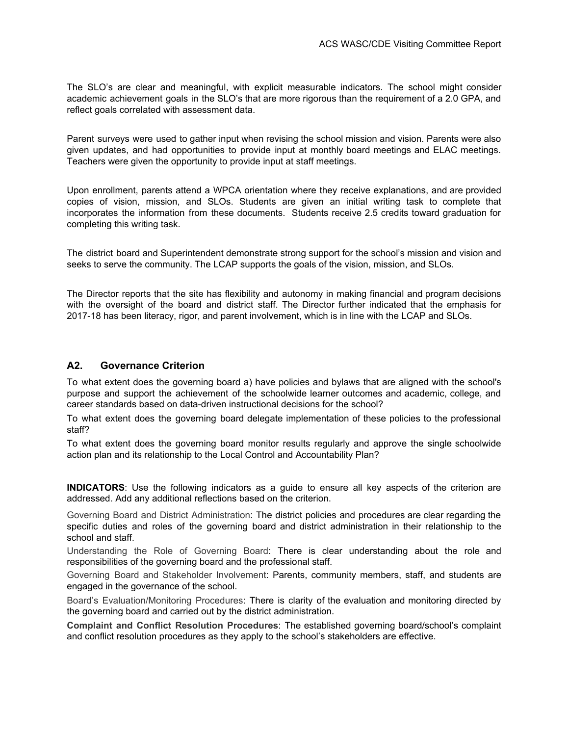The SLO's are clear and meaningful, with explicit measurable indicators. The school might consider academic achievement goals in the SLO's that are more rigorous than the requirement of a 2.0 GPA, and reflect goals correlated with assessment data.

Parent surveys were used to gather input when revising the school mission and vision. Parents were also given updates, and had opportunities to provide input at monthly board meetings and ELAC meetings. Teachers were given the opportunity to provide input at staff meetings.

Upon enrollment, parents attend a WPCA orientation where they receive explanations, and are provided copies of vision, mission, and SLOs. Students are given an initial writing task to complete that incorporates the information from these documents. Students receive 2.5 credits toward graduation for completing this writing task.

The district board and Superintendent demonstrate strong support for the school's mission and vision and seeks to serve the community. The LCAP supports the goals of the vision, mission, and SLOs.

The Director reports that the site has flexibility and autonomy in making financial and program decisions with the oversight of the board and district staff. The Director further indicated that the emphasis for 2017-18 has been literacy, rigor, and parent involvement, which is in line with the LCAP and SLOs.

#### **A2. Governance Criterion**

To what extent does the governing board a) have policies and bylaws that are aligned with the school's purpose and support the achievement of the schoolwide learner outcomes and academic, college, and career standards based on data-driven instructional decisions for the school?

To what extent does the governing board delegate implementation of these policies to the professional staff?

To what extent does the governing board monitor results regularly and approve the single schoolwide action plan and its relationship to the Local Control and Accountability Plan?

**INDICATORS**: Use the following indicators as a guide to ensure all key aspects of the criterion are addressed. Add any additional reflections based on the criterion.

Governing Board and District Administration: The district policies and procedures are clear regarding the specific duties and roles of the governing board and district administration in their relationship to the school and staff.

Understanding the Role of Governing Board: There is clear understanding about the role and responsibilities of the governing board and the professional staff.

Governing Board and Stakeholder Involvement: Parents, community members, staff, and students are engaged in the governance of the school.

Board's Evaluation/Monitoring Procedures: There is clarity of the evaluation and monitoring directed by the governing board and carried out by the district administration.

**Complaint and Conflict Resolution Procedures**: The established governing board/school's complaint and conflict resolution procedures as they apply to the school's stakeholders are effective.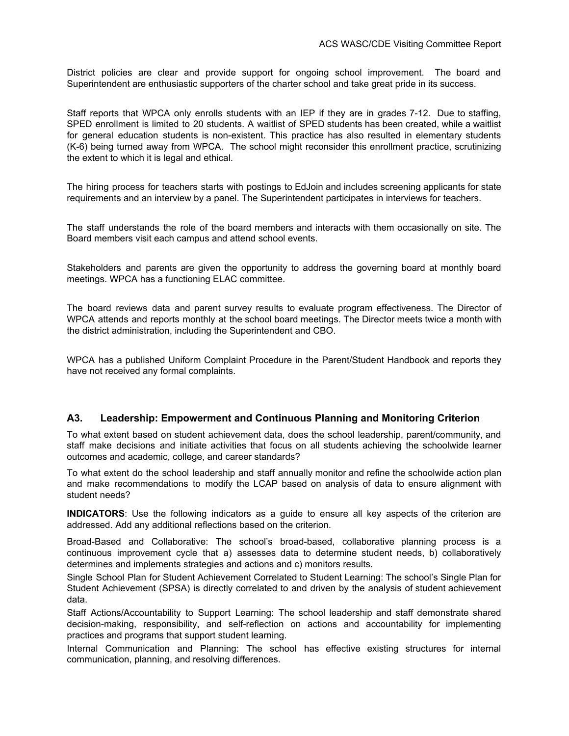District policies are clear and provide support for ongoing school improvement. The board and Superintendent are enthusiastic supporters of the charter school and take great pride in its success.

Staff reports that WPCA only enrolls students with an IEP if they are in grades 7-12. Due to staffing, SPED enrollment is limited to 20 students. A waitlist of SPED students has been created, while a waitlist for general education students is non-existent. This practice has also resulted in elementary students (K-6) being turned away from WPCA. The school might reconsider this enrollment practice, scrutinizing the extent to which it is legal and ethical.

The hiring process for teachers starts with postings to EdJoin and includes screening applicants for state requirements and an interview by a panel. The Superintendent participates in interviews for teachers.

The staff understands the role of the board members and interacts with them occasionally on site. The Board members visit each campus and attend school events.

Stakeholders and parents are given the opportunity to address the governing board at monthly board meetings. WPCA has a functioning ELAC committee.

The board reviews data and parent survey results to evaluate program effectiveness. The Director of WPCA attends and reports monthly at the school board meetings. The Director meets twice a month with the district administration, including the Superintendent and CBO.

WPCA has a published Uniform Complaint Procedure in the Parent/Student Handbook and reports they have not received any formal complaints.

#### **A3. Leadership: Empowerment and Continuous Planning and Monitoring Criterion**

To what extent based on student achievement data, does the school leadership, parent/community, and staff make decisions and initiate activities that focus on all students achieving the schoolwide learner outcomes and academic, college, and career standards?

To what extent do the school leadership and staff annually monitor and refine the schoolwide action plan and make recommendations to modify the LCAP based on analysis of data to ensure alignment with student needs?

**INDICATORS**: Use the following indicators as a guide to ensure all key aspects of the criterion are addressed. Add any additional reflections based on the criterion.

Broad-Based and Collaborative: The school's broad-based, collaborative planning process is a continuous improvement cycle that a) assesses data to determine student needs, b) collaboratively determines and implements strategies and actions and c) monitors results.

Single School Plan for Student Achievement Correlated to Student Learning: The school's Single Plan for Student Achievement (SPSA) is directly correlated to and driven by the analysis of student achievement data.

Staff Actions/Accountability to Support Learning: The school leadership and staff demonstrate shared decision-making, responsibility, and self-reflection on actions and accountability for implementing practices and programs that support student learning.

Internal Communication and Planning: The school has effective existing structures for internal communication, planning, and resolving differences.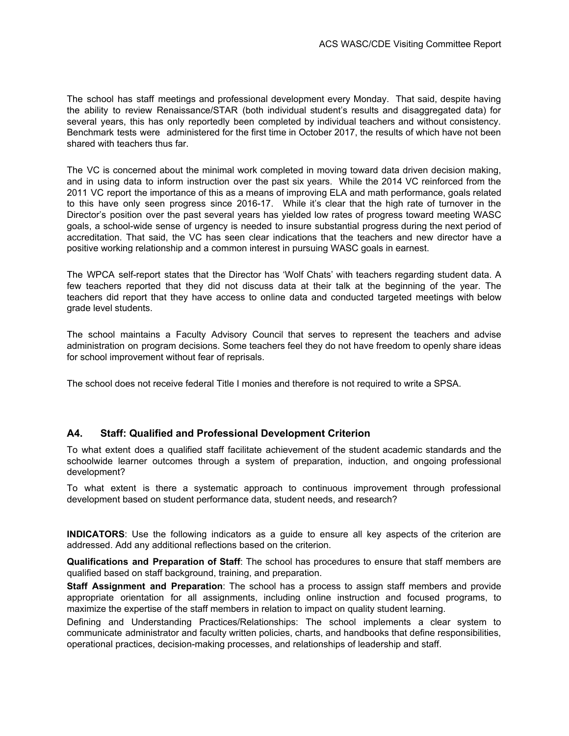The school has staff meetings and professional development every Monday. That said, despite having the ability to review Renaissance/STAR (both individual student's results and disaggregated data) for several years, this has only reportedly been completed by individual teachers and without consistency. Benchmark tests were administered for the first time in October 2017, the results of which have not been shared with teachers thus far.

The VC is concerned about the minimal work completed in moving toward data driven decision making, and in using data to inform instruction over the past six years. While the 2014 VC reinforced from the 2011 VC report the importance of this as a means of improving ELA and math performance, goals related to this have only seen progress since 2016-17. While it's clear that the high rate of turnover in the Director's position over the past several years has yielded low rates of progress toward meeting WASC goals, a school-wide sense of urgency is needed to insure substantial progress during the next period of accreditation. That said, the VC has seen clear indications that the teachers and new director have a positive working relationship and a common interest in pursuing WASC goals in earnest.

The WPCA self-report states that the Director has 'Wolf Chats' with teachers regarding student data. A few teachers reported that they did not discuss data at their talk at the beginning of the year. The teachers did report that they have access to online data and conducted targeted meetings with below grade level students.

The school maintains a Faculty Advisory Council that serves to represent the teachers and advise administration on program decisions. Some teachers feel they do not have freedom to openly share ideas for school improvement without fear of reprisals.

The school does not receive federal Title I monies and therefore is not required to write a SPSA.

#### **A4. Staff: Qualified and Professional Development Criterion**

To what extent does a qualified staff facilitate achievement of the student academic standards and the schoolwide learner outcomes through a system of preparation, induction, and ongoing professional development?

To what extent is there a systematic approach to continuous improvement through professional development based on student performance data, student needs, and research?

**INDICATORS**: Use the following indicators as a guide to ensure all key aspects of the criterion are addressed. Add any additional reflections based on the criterion.

**Qualifications and Preparation of Staff**: The school has procedures to ensure that staff members are qualified based on staff background, training, and preparation.

**Staff Assignment and Preparation**: The school has a process to assign staff members and provide appropriate orientation for all assignments, including online instruction and focused programs, to maximize the expertise of the staff members in relation to impact on quality student learning.

Defining and Understanding Practices/Relationships: The school implements a clear system to communicate administrator and faculty written policies, charts, and handbooks that define responsibilities, operational practices, decision-making processes, and relationships of leadership and staff.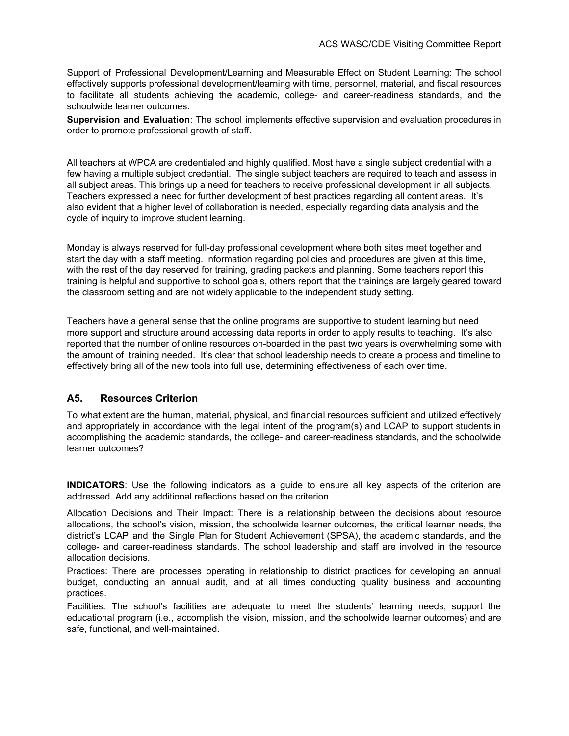Support of Professional Development/Learning and Measurable Effect on Student Learning: The school effectively supports professional development/learning with time, personnel, material, and fiscal resources to facilitate all students achieving the academic, college- and career-readiness standards, and the schoolwide learner outcomes.

**Supervision and Evaluation**: The school implements effective supervision and evaluation procedures in order to promote professional growth of staff.

All teachers at WPCA are credentialed and highly qualified. Most have a single subject credential with a few having a multiple subject credential. The single subject teachers are required to teach and assess in all subject areas. This brings up a need for teachers to receive professional development in all subjects. Teachers expressed a need for further development of best practices regarding all content areas. It's also evident that a higher level of collaboration is needed, especially regarding data analysis and the cycle of inquiry to improve student learning.

Monday is always reserved for full-day professional development where both sites meet together and start the day with a staff meeting. Information regarding policies and procedures are given at this time, with the rest of the day reserved for training, grading packets and planning. Some teachers report this training is helpful and supportive to school goals, others report that the trainings are largely geared toward the classroom setting and are not widely applicable to the independent study setting.

Teachers have a general sense that the online programs are supportive to student learning but need more support and structure around accessing data reports in order to apply results to teaching. It's also reported that the number of online resources on-boarded in the past two years is overwhelming some with the amount of training needed. It's clear that school leadership needs to create a process and timeline to effectively bring all of the new tools into full use, determining effectiveness of each over time.

#### **A5. Resources Criterion**

To what extent are the human, material, physical, and financial resources sufficient and utilized effectively and appropriately in accordance with the legal intent of the program(s) and LCAP to support students in accomplishing the academic standards, the college- and career-readiness standards, and the schoolwide learner outcomes?

**INDICATORS**: Use the following indicators as a guide to ensure all key aspects of the criterion are addressed. Add any additional reflections based on the criterion.

Allocation Decisions and Their Impact: There is a relationship between the decisions about resource allocations, the school's vision, mission, the schoolwide learner outcomes, the critical learner needs, the district's LCAP and the Single Plan for Student Achievement (SPSA), the academic standards, and the college- and career-readiness standards. The school leadership and staff are involved in the resource allocation decisions.

Practices: There are processes operating in relationship to district practices for developing an annual budget, conducting an annual audit, and at all times conducting quality business and accounting practices.

Facilities: The school's facilities are adequate to meet the students' learning needs, support the educational program (i.e., accomplish the vision, mission, and the schoolwide learner outcomes) and are safe, functional, and well-maintained.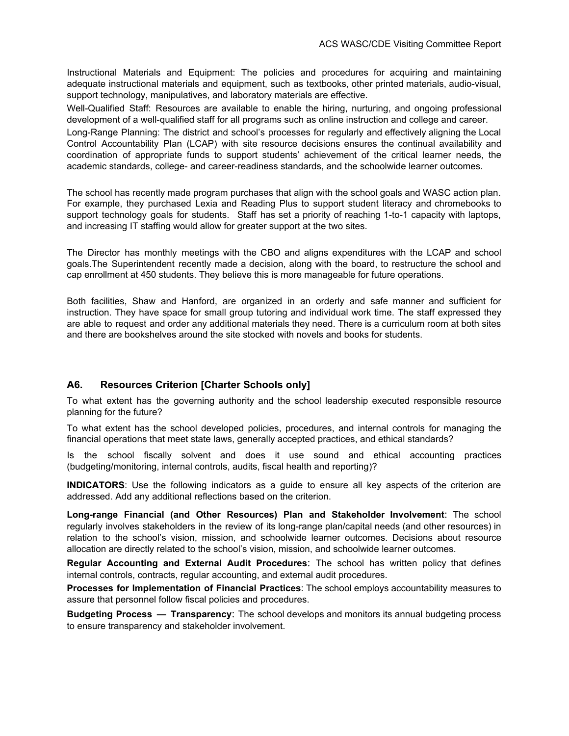Instructional Materials and Equipment: The policies and procedures for acquiring and maintaining adequate instructional materials and equipment, such as textbooks, other printed materials, audio-visual, support technology, manipulatives, and laboratory materials are effective.

Well-Qualified Staff: Resources are available to enable the hiring, nurturing, and ongoing professional development of a well-qualified staff for all programs such as online instruction and college and career.

Long-Range Planning: The district and school's processes for regularly and effectively aligning the Local Control Accountability Plan (LCAP) with site resource decisions ensures the continual availability and coordination of appropriate funds to support students' achievement of the critical learner needs, the academic standards, college- and career-readiness standards, and the schoolwide learner outcomes.

The school has recently made program purchases that align with the school goals and WASC action plan. For example, they purchased Lexia and Reading Plus to support student literacy and chromebooks to support technology goals for students. Staff has set a priority of reaching 1-to-1 capacity with laptops, and increasing IT staffing would allow for greater support at the two sites.

The Director has monthly meetings with the CBO and aligns expenditures with the LCAP and school goals.The Superintendent recently made a decision, along with the board, to restructure the school and cap enrollment at 450 students. They believe this is more manageable for future operations.

Both facilities, Shaw and Hanford, are organized in an orderly and safe manner and sufficient for instruction. They have space for small group tutoring and individual work time. The staff expressed they are able to request and order any additional materials they need. There is a curriculum room at both sites and there are bookshelves around the site stocked with novels and books for students.

#### **A6. Resources Criterion [Charter Schools only]**

To what extent has the governing authority and the school leadership executed responsible resource planning for the future?

To what extent has the school developed policies, procedures, and internal controls for managing the financial operations that meet state laws, generally accepted practices, and ethical standards?

Is the school fiscally solvent and does it use sound and ethical accounting practices (budgeting/monitoring, internal controls, audits, fiscal health and reporting)?

**INDICATORS**: Use the following indicators as a guide to ensure all key aspects of the criterion are addressed. Add any additional reflections based on the criterion.

**Long-range Financial (and Other Resources) Plan and Stakeholder Involvement**: The school regularly involves stakeholders in the review of its long-range plan/capital needs (and other resources) in relation to the school's vision, mission, and schoolwide learner outcomes. Decisions about resource allocation are directly related to the school's vision, mission, and schoolwide learner outcomes.

**Regular Accounting and External Audit Procedures**: The school has written policy that defines internal controls, contracts, regular accounting, and external audit procedures.

**Processes for Implementation of Financial Practices**: The school employs accountability measures to assure that personnel follow fiscal policies and procedures.

**Budgeting Process — Transparency**: The school develops and monitors its annual budgeting process to ensure transparency and stakeholder involvement.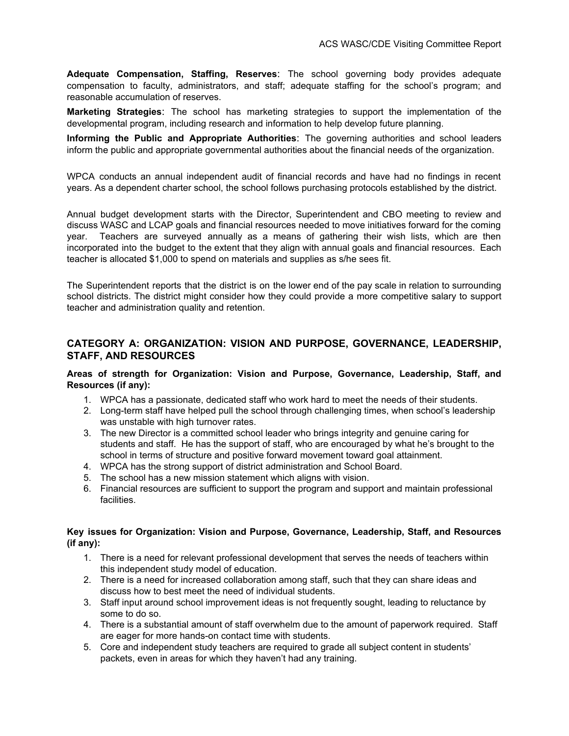**Adequate Compensation, Staffing, Reserves**: The school governing body provides adequate compensation to faculty, administrators, and staff; adequate staffing for the school's program; and reasonable accumulation of reserves.

**Marketing Strategies**: The school has marketing strategies to support the implementation of the developmental program, including research and information to help develop future planning.

**Informing the Public and Appropriate Authorities**: The governing authorities and school leaders inform the public and appropriate governmental authorities about the financial needs of the organization.

WPCA conducts an annual independent audit of financial records and have had no findings in recent years. As a dependent charter school, the school follows purchasing protocols established by the district.

Annual budget development starts with the Director, Superintendent and CBO meeting to review and discuss WASC and LCAP goals and financial resources needed to move initiatives forward for the coming year. Teachers are surveyed annually as a means of gathering their wish lists, which are then incorporated into the budget to the extent that they align with annual goals and financial resources. Each teacher is allocated \$1,000 to spend on materials and supplies as s/he sees fit.

The Superintendent reports that the district is on the lower end of the pay scale in relation to surrounding school districts. The district might consider how they could provide a more competitive salary to support teacher and administration quality and retention.

#### **CATEGORY A: ORGANIZATION: VISION AND PURPOSE, GOVERNANCE, LEADERSHIP, STAFF, AND RESOURCES**

**Areas of strength for Organization: Vision and Purpose, Governance, Leadership, Staff, and Resources (if any):**

- 1. WPCA has a passionate, dedicated staff who work hard to meet the needs of their students.
- 2. Long-term staff have helped pull the school through challenging times, when school's leadership was unstable with high turnover rates.
- 3. The new Director is a committed school leader who brings integrity and genuine caring for students and staff. He has the support of staff, who are encouraged by what he's brought to the school in terms of structure and positive forward movement toward goal attainment.
- 4. WPCA has the strong support of district administration and School Board.
- 5. The school has a new mission statement which aligns with vision.
- 6. Financial resources are sufficient to support the program and support and maintain professional facilities.

#### **Key issues for Organization: Vision and Purpose, Governance, Leadership, Staff, and Resources (if any):**

- 1. There is a need for relevant professional development that serves the needs of teachers within this independent study model of education.
- 2. There is a need for increased collaboration among staff, such that they can share ideas and discuss how to best meet the need of individual students.
- 3. Staff input around school improvement ideas is not frequently sought, leading to reluctance by some to do so.
- 4. There is a substantial amount of staff overwhelm due to the amount of paperwork required. Staff are eager for more hands-on contact time with students.
- 5. Core and independent study teachers are required to grade all subject content in students' packets, even in areas for which they haven't had any training.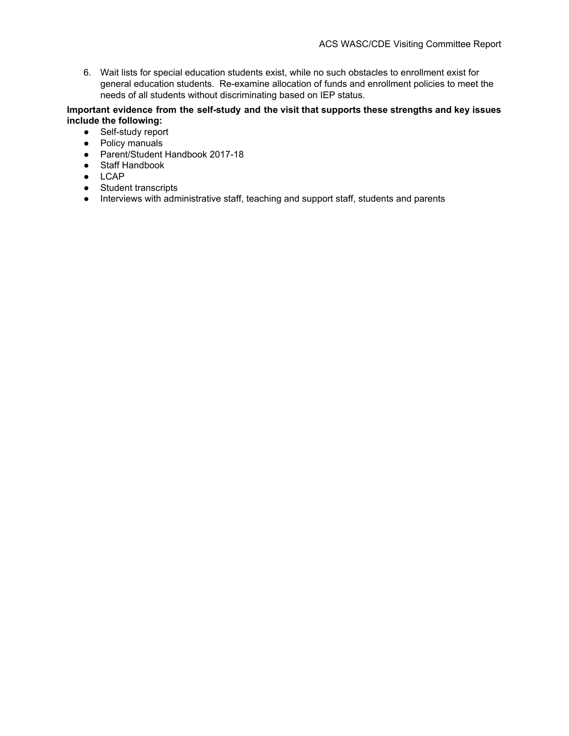6. Wait lists for special education students exist, while no such obstacles to enrollment exist for general education students. Re-examine allocation of funds and enrollment policies to meet the needs of all students without discriminating based on IEP status.

#### **Important evidence from the self-study and the visit that supports these strengths and key issues include the following:**

- Self-study report
- Policy manuals
- Parent/Student Handbook 2017-18
- Staff Handbook
- LCAP
- Student transcripts
- Interviews with administrative staff, teaching and support staff, students and parents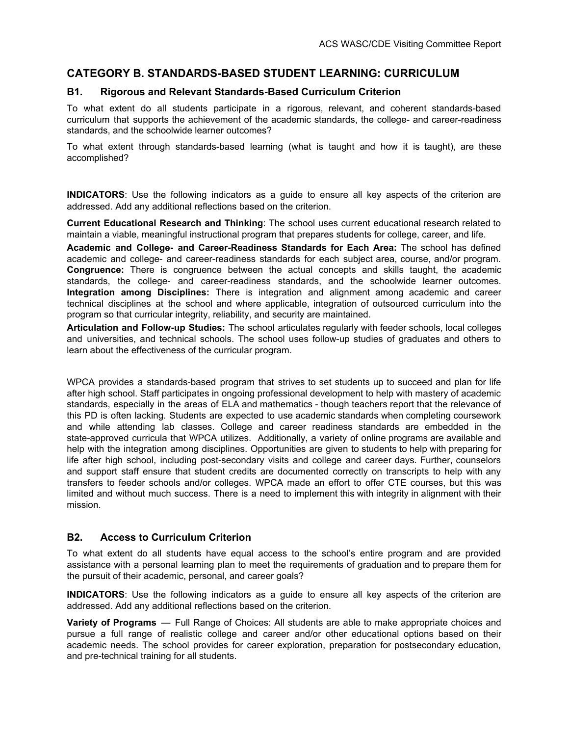## **CATEGORY B. STANDARDS-BASED STUDENT LEARNING: CURRICULUM**

#### **B1. Rigorous and Relevant Standards-Based Curriculum Criterion**

To what extent do all students participate in a rigorous, relevant, and coherent standards-based curriculum that supports the achievement of the academic standards, the college- and career-readiness standards, and the schoolwide learner outcomes?

To what extent through standards-based learning (what is taught and how it is taught), are these accomplished?

**INDICATORS**: Use the following indicators as a guide to ensure all key aspects of the criterion are addressed. Add any additional reflections based on the criterion.

**Current Educational Research and Thinking**: The school uses current educational research related to maintain a viable, meaningful instructional program that prepares students for college, career, and life.

**Academic and College- and Career-Readiness Standards for Each Area:** The school has defined academic and college- and career-readiness standards for each subject area, course, and/or program. **Congruence:** There is congruence between the actual concepts and skills taught, the academic standards, the college- and career-readiness standards, and the schoolwide learner outcomes. **Integration among Disciplines:** There is integration and alignment among academic and career technical disciplines at the school and where applicable, integration of outsourced curriculum into the program so that curricular integrity, reliability, and security are maintained.

**Articulation and Follow-up Studies:** The school articulates regularly with feeder schools, local colleges and universities, and technical schools. The school uses follow-up studies of graduates and others to learn about the effectiveness of the curricular program.

WPCA provides a standards-based program that strives to set students up to succeed and plan for life after high school. Staff participates in ongoing professional development to help with mastery of academic standards, especially in the areas of ELA and mathematics - though teachers report that the relevance of this PD is often lacking. Students are expected to use academic standards when completing coursework and while attending lab classes. College and career readiness standards are embedded in the state-approved curricula that WPCA utilizes. Additionally, a variety of online programs are available and help with the integration among disciplines. Opportunities are given to students to help with preparing for life after high school, including post-secondary visits and college and career days. Further, counselors and support staff ensure that student credits are documented correctly on transcripts to help with any transfers to feeder schools and/or colleges. WPCA made an effort to offer CTE courses, but this was limited and without much success. There is a need to implement this with integrity in alignment with their mission.

#### **B2. Access to Curriculum Criterion**

To what extent do all students have equal access to the school's entire program and are provided assistance with a personal learning plan to meet the requirements of graduation and to prepare them for the pursuit of their academic, personal, and career goals?

**INDICATORS**: Use the following indicators as a guide to ensure all key aspects of the criterion are addressed. Add any additional reflections based on the criterion.

**Variety of Programs** — Full Range of Choices: All students are able to make appropriate choices and pursue a full range of realistic college and career and/or other educational options based on their academic needs. The school provides for career exploration, preparation for postsecondary education, and pre-technical training for all students.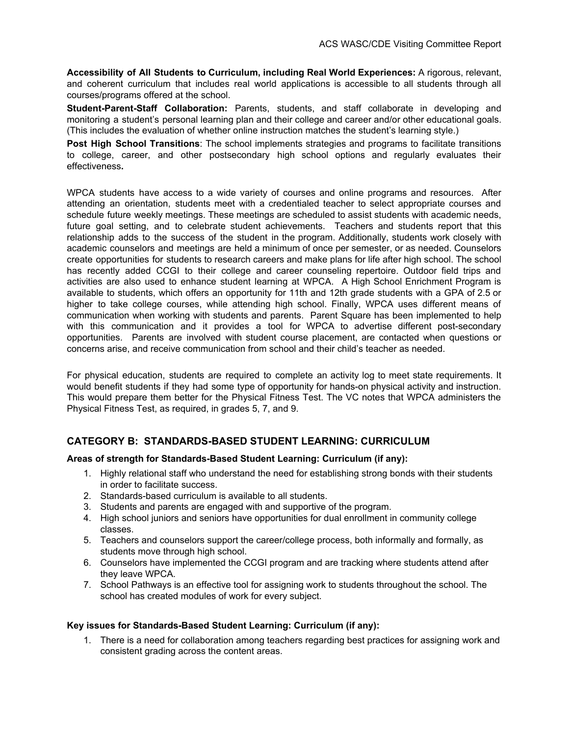**Accessibility of All Students to Curriculum, including Real World Experiences:** A rigorous, relevant, and coherent curriculum that includes real world applications is accessible to all students through all courses/programs offered at the school.

**Student-Parent-Staff Collaboration:** Parents, students, and staff collaborate in developing and monitoring a student's personal learning plan and their college and career and/or other educational goals. (This includes the evaluation of whether online instruction matches the student's learning style.)

**Post High School Transitions**: The school implements strategies and programs to facilitate transitions to college, career, and other postsecondary high school options and regularly evaluates their effectiveness**.**

WPCA students have access to a wide variety of courses and online programs and resources. After attending an orientation, students meet with a credentialed teacher to select appropriate courses and schedule future weekly meetings. These meetings are scheduled to assist students with academic needs, future goal setting, and to celebrate student achievements. Teachers and students report that this relationship adds to the success of the student in the program. Additionally, students work closely with academic counselors and meetings are held a minimum of once per semester, or as needed. Counselors create opportunities for students to research careers and make plans for life after high school. The school has recently added CCGI to their college and career counseling repertoire. Outdoor field trips and activities are also used to enhance student learning at WPCA. A High School Enrichment Program is available to students, which offers an opportunity for 11th and 12th grade students with a GPA of 2.5 or higher to take college courses, while attending high school. Finally, WPCA uses different means of communication when working with students and parents. Parent Square has been implemented to help with this communication and it provides a tool for WPCA to advertise different post-secondary opportunities. Parents are involved with student course placement, are contacted when questions or concerns arise, and receive communication from school and their child's teacher as needed.

For physical education, students are required to complete an activity log to meet state requirements. It would benefit students if they had some type of opportunity for hands-on physical activity and instruction. This would prepare them better for the Physical Fitness Test. The VC notes that WPCA administers the Physical Fitness Test, as required, in grades 5, 7, and 9.

#### **CATEGORY B: STANDARDS-BASED STUDENT LEARNING: CURRICULUM**

#### **Areas of strength for Standards-Based Student Learning: Curriculum (if any):**

- 1. Highly relational staff who understand the need for establishing strong bonds with their students in order to facilitate success.
- 2. Standards-based curriculum is available to all students.
- 3. Students and parents are engaged with and supportive of the program.
- 4. High school juniors and seniors have opportunities for dual enrollment in community college classes.
- 5. Teachers and counselors support the career/college process, both informally and formally, as students move through high school.
- 6. Counselors have implemented the CCGI program and are tracking where students attend after they leave WPCA.
- 7. School Pathways is an effective tool for assigning work to students throughout the school. The school has created modules of work for every subject.

#### **Key issues for Standards-Based Student Learning: Curriculum (if any):**

1. There is a need for collaboration among teachers regarding best practices for assigning work and consistent grading across the content areas.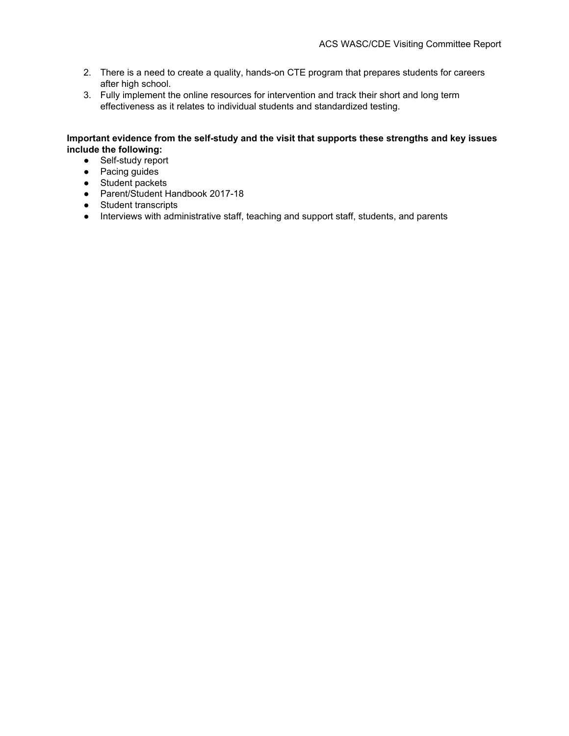- 2. There is a need to create a quality, hands-on CTE program that prepares students for careers after high school.
- 3. Fully implement the online resources for intervention and track their short and long term effectiveness as it relates to individual students and standardized testing.

#### **Important evidence from the self-study and the visit that supports these strengths and key issues include the following:**

- Self-study report
- Pacing guides
- Student packets
- Parent/Student Handbook 2017-18
- Student transcripts
- Interviews with administrative staff, teaching and support staff, students, and parents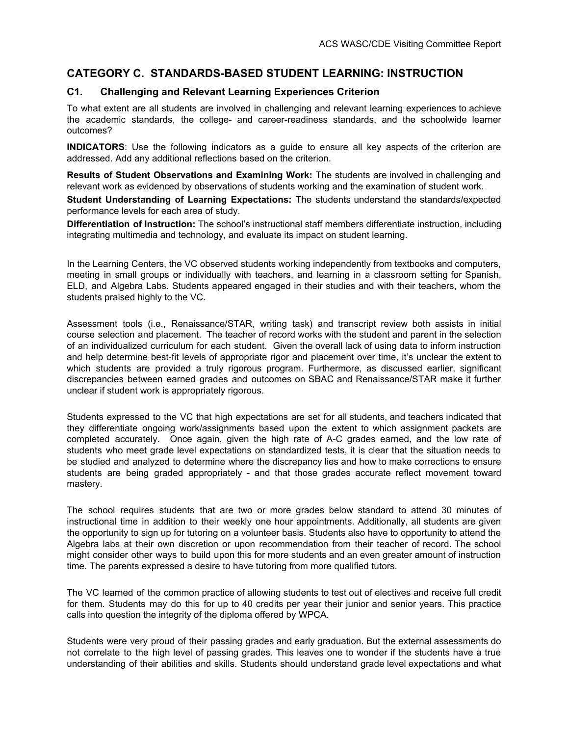## **CATEGORY C. STANDARDS-BASED STUDENT LEARNING: INSTRUCTION**

#### **C1. Challenging and Relevant Learning Experiences Criterion**

To what extent are all students are involved in challenging and relevant learning experiences to achieve the academic standards, the college- and career-readiness standards, and the schoolwide learner outcomes?

**INDICATORS**: Use the following indicators as a guide to ensure all key aspects of the criterion are addressed. Add any additional reflections based on the criterion.

**Results of Student Observations and Examining Work:** The students are involved in challenging and relevant work as evidenced by observations of students working and the examination of student work.

**Student Understanding of Learning Expectations:** The students understand the standards/expected performance levels for each area of study.

**Differentiation of Instruction:** The school's instructional staff members differentiate instruction, including integrating multimedia and technology, and evaluate its impact on student learning.

In the Learning Centers, the VC observed students working independently from textbooks and computers, meeting in small groups or individually with teachers, and learning in a classroom setting for Spanish, ELD, and Algebra Labs. Students appeared engaged in their studies and with their teachers, whom the students praised highly to the VC.

Assessment tools (i.e., Renaissance/STAR, writing task) and transcript review both assists in initial course selection and placement. The teacher of record works with the student and parent in the selection of an individualized curriculum for each student. Given the overall lack of using data to inform instruction and help determine best-fit levels of appropriate rigor and placement over time, it's unclear the extent to which students are provided a truly rigorous program. Furthermore, as discussed earlier, significant discrepancies between earned grades and outcomes on SBAC and Renaissance/STAR make it further unclear if student work is appropriately rigorous.

Students expressed to the VC that high expectations are set for all students, and teachers indicated that they differentiate ongoing work/assignments based upon the extent to which assignment packets are completed accurately. Once again, given the high rate of A-C grades earned, and the low rate of students who meet grade level expectations on standardized tests, it is clear that the situation needs to be studied and analyzed to determine where the discrepancy lies and how to make corrections to ensure students are being graded appropriately - and that those grades accurate reflect movement toward mastery.

The school requires students that are two or more grades below standard to attend 30 minutes of instructional time in addition to their weekly one hour appointments. Additionally, all students are given the opportunity to sign up for tutoring on a volunteer basis. Students also have to opportunity to attend the Algebra labs at their own discretion or upon recommendation from their teacher of record. The school might consider other ways to build upon this for more students and an even greater amount of instruction time. The parents expressed a desire to have tutoring from more qualified tutors.

The VC learned of the common practice of allowing students to test out of electives and receive full credit for them. Students may do this for up to 40 credits per year their junior and senior years. This practice calls into question the integrity of the diploma offered by WPCA.

Students were very proud of their passing grades and early graduation. But the external assessments do not correlate to the high level of passing grades. This leaves one to wonder if the students have a true understanding of their abilities and skills. Students should understand grade level expectations and what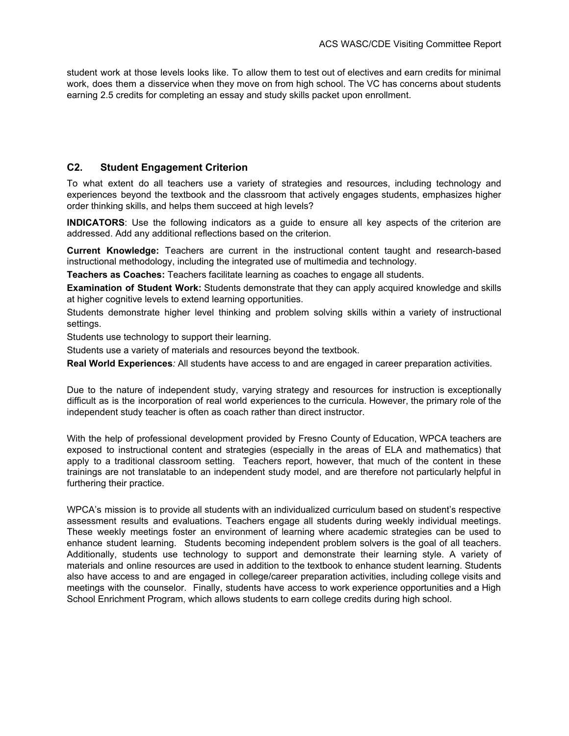student work at those levels looks like. To allow them to test out of electives and earn credits for minimal work, does them a disservice when they move on from high school. The VC has concerns about students earning 2.5 credits for completing an essay and study skills packet upon enrollment.

#### **C2. Student Engagement Criterion**

To what extent do all teachers use a variety of strategies and resources, including technology and experiences beyond the textbook and the classroom that actively engages students, emphasizes higher order thinking skills, and helps them succeed at high levels?

**INDICATORS**: Use the following indicators as a guide to ensure all key aspects of the criterion are addressed. Add any additional reflections based on the criterion.

**Current Knowledge:** Teachers are current in the instructional content taught and research-based instructional methodology, including the integrated use of multimedia and technology.

**Teachers as Coaches:** Teachers facilitate learning as coaches to engage all students.

**Examination of Student Work:** Students demonstrate that they can apply acquired knowledge and skills at higher cognitive levels to extend learning opportunities.

Students demonstrate higher level thinking and problem solving skills within a variety of instructional settings.

Students use technology to support their learning.

Students use a variety of materials and resources beyond the textbook.

**Real World Experiences***:* All students have access to and are engaged in career preparation activities.

Due to the nature of independent study, varying strategy and resources for instruction is exceptionally difficult as is the incorporation of real world experiences to the curricula. However, the primary role of the independent study teacher is often as coach rather than direct instructor.

With the help of professional development provided by Fresno County of Education, WPCA teachers are exposed to instructional content and strategies (especially in the areas of ELA and mathematics) that apply to a traditional classroom setting. Teachers report, however, that much of the content in these trainings are not translatable to an independent study model, and are therefore not particularly helpful in furthering their practice.

WPCA's mission is to provide all students with an individualized curriculum based on student's respective assessment results and evaluations. Teachers engage all students during weekly individual meetings. These weekly meetings foster an environment of learning where academic strategies can be used to enhance student learning. Students becoming independent problem solvers is the goal of all teachers. Additionally, students use technology to support and demonstrate their learning style. A variety of materials and online resources are used in addition to the textbook to enhance student learning. Students also have access to and are engaged in college/career preparation activities, including college visits and meetings with the counselor. Finally, students have access to work experience opportunities and a High School Enrichment Program, which allows students to earn college credits during high school.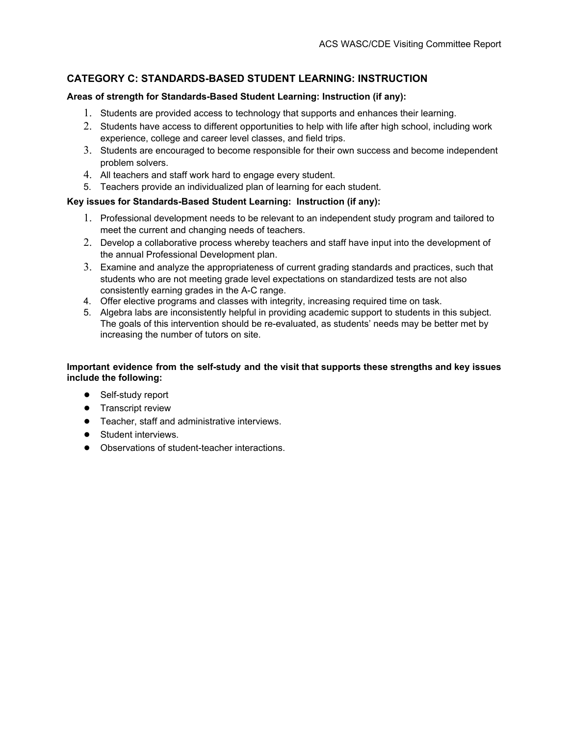## **CATEGORY C: STANDARDS-BASED STUDENT LEARNING: INSTRUCTION**

#### **Areas of strength for Standards-Based Student Learning: Instruction (if any):**

- 1. Students are provided access to technology that supports and enhances their learning.
- 2. Students have access to different opportunities to help with life after high school, including work experience, college and career level classes, and field trips.
- 3. Students are encouraged to become responsible for their own success and become independent problem solvers.
- 4. All teachers and staff work hard to engage every student.
- 5. Teachers provide an individualized plan of learning for each student.

#### **Key issues for Standards-Based Student Learning: Instruction (if any):**

- 1. Professional development needs to be relevant to an independent study program and tailored to meet the current and changing needs of teachers.
- 2. Develop a collaborative process whereby teachers and staff have input into the development of the annual Professional Development plan.
- 3. Examine and analyze the appropriateness of current grading standards and practices, such that students who are not meeting grade level expectations on standardized tests are not also consistently earning grades in the A-C range.
- 4. Offer elective programs and classes with integrity, increasing required time on task.
- 5. Algebra labs are inconsistently helpful in providing academic support to students in this subject. The goals of this intervention should be re-evaluated, as students' needs may be better met by increasing the number of tutors on site.

#### **Important evidence from the self-study and the visit that supports these strengths and key issues include the following:**

- Self-study report
- **•** Transcript review
- Teacher, staff and administrative interviews.
- Student interviews.
- Observations of student-teacher interactions.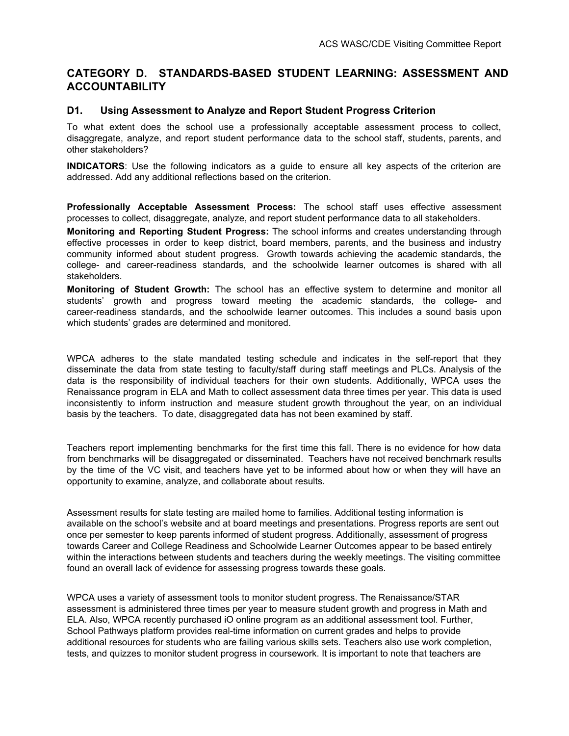## **CATEGORY D. STANDARDS-BASED STUDENT LEARNING: ASSESSMENT AND ACCOUNTABILITY**

#### **D1. Using Assessment to Analyze and Report Student Progress Criterion**

To what extent does the school use a professionally acceptable assessment process to collect, disaggregate, analyze, and report student performance data to the school staff, students, parents, and other stakeholders?

**INDICATORS**: Use the following indicators as a guide to ensure all key aspects of the criterion are addressed. Add any additional reflections based on the criterion.

**Professionally Acceptable Assessment Process:** The school staff uses effective assessment processes to collect, disaggregate, analyze, and report student performance data to all stakeholders.

**Monitoring and Reporting Student Progress:** The school informs and creates understanding through effective processes in order to keep district, board members, parents, and the business and industry community informed about student progress. Growth towards achieving the academic standards, the college- and career-readiness standards, and the schoolwide learner outcomes is shared with all stakeholders.

**Monitoring of Student Growth:** The school has an effective system to determine and monitor all students' growth and progress toward meeting the academic standards, the college- and career-readiness standards, and the schoolwide learner outcomes. This includes a sound basis upon which students' grades are determined and monitored.

WPCA adheres to the state mandated testing schedule and indicates in the self-report that they disseminate the data from state testing to faculty/staff during staff meetings and PLCs. Analysis of the data is the responsibility of individual teachers for their own students. Additionally, WPCA uses the Renaissance program in ELA and Math to collect assessment data three times per year. This data is used inconsistently to inform instruction and measure student growth throughout the year, on an individual basis by the teachers. To date, disaggregated data has not been examined by staff.

Teachers report implementing benchmarks for the first time this fall. There is no evidence for how data from benchmarks will be disaggregated or disseminated. Teachers have not received benchmark results by the time of the VC visit, and teachers have yet to be informed about how or when they will have an opportunity to examine, analyze, and collaborate about results.

Assessment results for state testing are mailed home to families. Additional testing information is available on the school's website and at board meetings and presentations. Progress reports are sent out once per semester to keep parents informed of student progress. Additionally, assessment of progress towards Career and College Readiness and Schoolwide Learner Outcomes appear to be based entirely within the interactions between students and teachers during the weekly meetings. The visiting committee found an overall lack of evidence for assessing progress towards these goals.

WPCA uses a variety of assessment tools to monitor student progress. The Renaissance/STAR assessment is administered three times per year to measure student growth and progress in Math and ELA. Also, WPCA recently purchased iO online program as an additional assessment tool. Further, School Pathways platform provides real-time information on current grades and helps to provide additional resources for students who are failing various skills sets. Teachers also use work completion, tests, and quizzes to monitor student progress in coursework. It is important to note that teachers are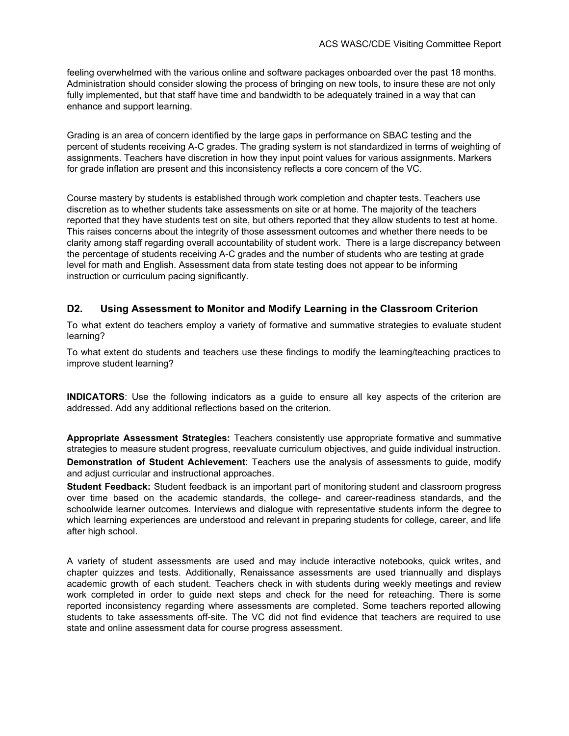feeling overwhelmed with the various online and software packages onboarded over the past 18 months. Administration should consider slowing the process of bringing on new tools, to insure these are not only fully implemented, but that staff have time and bandwidth to be adequately trained in a way that can enhance and support learning.

Grading is an area of concern identified by the large gaps in performance on SBAC testing and the percent of students receiving A-C grades. The grading system is not standardized in terms of weighting of assignments. Teachers have discretion in how they input point values for various assignments. Markers for grade inflation are present and this inconsistency reflects a core concern of the VC.

Course mastery by students is established through work completion and chapter tests. Teachers use discretion as to whether students take assessments on site or at home. The majority of the teachers reported that they have students test on site, but others reported that they allow students to test at home. This raises concerns about the integrity of those assessment outcomes and whether there needs to be clarity among staff regarding overall accountability of student work. There is a large discrepancy between the percentage of students receiving A-C grades and the number of students who are testing at grade level for math and English. Assessment data from state testing does not appear to be informing instruction or curriculum pacing significantly.

#### **D2. Using Assessment to Monitor and Modify Learning in the Classroom Criterion**

To what extent do teachers employ a variety of formative and summative strategies to evaluate student learning?

To what extent do students and teachers use these findings to modify the learning/teaching practices to improve student learning?

**INDICATORS**: Use the following indicators as a guide to ensure all key aspects of the criterion are addressed. Add any additional reflections based on the criterion.

**Appropriate Assessment Strategies:** Teachers consistently use appropriate formative and summative strategies to measure student progress, reevaluate curriculum objectives, and guide individual instruction. **Demonstration of Student Achievement**: Teachers use the analysis of assessments to guide, modify and adjust curricular and instructional approaches.

**Student Feedback:** Student feedback is an important part of monitoring student and classroom progress over time based on the academic standards, the college- and career-readiness standards, and the schoolwide learner outcomes. Interviews and dialogue with representative students inform the degree to which learning experiences are understood and relevant in preparing students for college, career, and life after high school.

A variety of student assessments are used and may include interactive notebooks, quick writes, and chapter quizzes and tests. Additionally, Renaissance assessments are used triannually and displays academic growth of each student. Teachers check in with students during weekly meetings and review work completed in order to guide next steps and check for the need for reteaching. There is some reported inconsistency regarding where assessments are completed. Some teachers reported allowing students to take assessments off-site. The VC did not find evidence that teachers are required to use state and online assessment data for course progress assessment.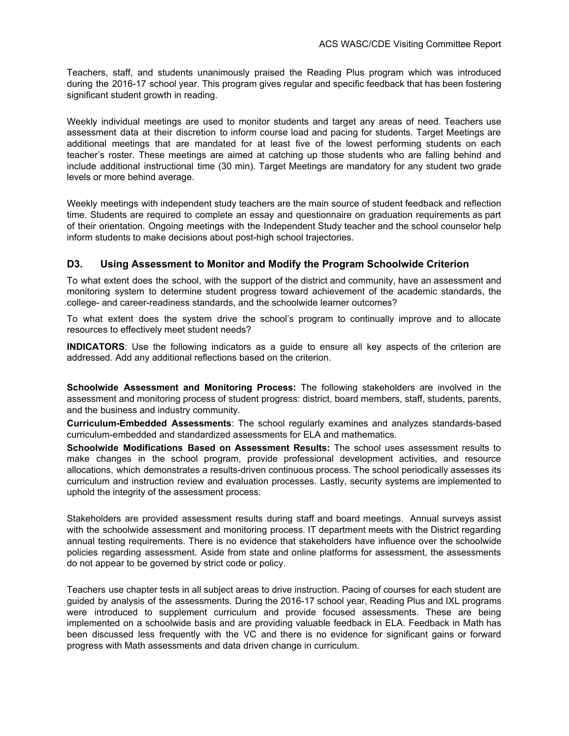Teachers, staff, and students unanimously praised the Reading Plus program which was introduced during the 2016-17 school year. This program gives regular and specific feedback that has been fostering significant student growth in reading.

Weekly individual meetings are used to monitor students and target any areas of need. Teachers use assessment data at their discretion to inform course load and pacing for students. Target Meetings are additional meetings that are mandated for at least five of the lowest performing students on each teacher's roster. These meetings are aimed at catching up those students who are falling behind and include additional instructional time (30 min). Target Meetings are mandatory for any student two grade levels or more behind average.

Weekly meetings with independent study teachers are the main source of student feedback and reflection time. Students are required to complete an essay and questionnaire on graduation requirements as part of their orientation. Ongoing meetings with the Independent Study teacher and the school counselor help inform students to make decisions about post-high school trajectories.

#### **D3. Using Assessment to Monitor and Modify the Program Schoolwide Criterion**

To what extent does the school, with the support of the district and community, have an assessment and monitoring system to determine student progress toward achievement of the academic standards, the college- and career-readiness standards, and the schoolwide learner outcomes?

To what extent does the system drive the school's program to continually improve and to allocate resources to effectively meet student needs?

**INDICATORS**: Use the following indicators as a guide to ensure all key aspects of the criterion are addressed. Add any additional reflections based on the criterion.

**Schoolwide Assessment and Monitoring Process:** The following stakeholders are involved in the assessment and monitoring process of student progress: district, board members, staff, students, parents, and the business and industry community.

**Curriculum-Embedded Assessments**: The school regularly examines and analyzes standards-based curriculum-embedded and standardized assessments for ELA and mathematics.

**Schoolwide Modifications Based on Assessment Results:** The school uses assessment results to make changes in the school program, provide professional development activities, and resource allocations, which demonstrates a results-driven continuous process. The school periodically assesses its curriculum and instruction review and evaluation processes. Lastly, security systems are implemented to uphold the integrity of the assessment process.

Stakeholders are provided assessment results during staff and board meetings. Annual surveys assist with the schoolwide assessment and monitoring process. IT department meets with the District regarding annual testing requirements. There is no evidence that stakeholders have influence over the schoolwide policies regarding assessment. Aside from state and online platforms for assessment, the assessments do not appear to be governed by strict code or policy.

Teachers use chapter tests in all subject areas to drive instruction. Pacing of courses for each student are guided by analysis of the assessments. During the 2016-17 school year, Reading Plus and IXL programs were introduced to supplement curriculum and provide focused assessments. These are being implemented on a schoolwide basis and are providing valuable feedback in ELA. Feedback in Math has been discussed less frequently with the VC and there is no evidence for significant gains or forward progress with Math assessments and data driven change in curriculum.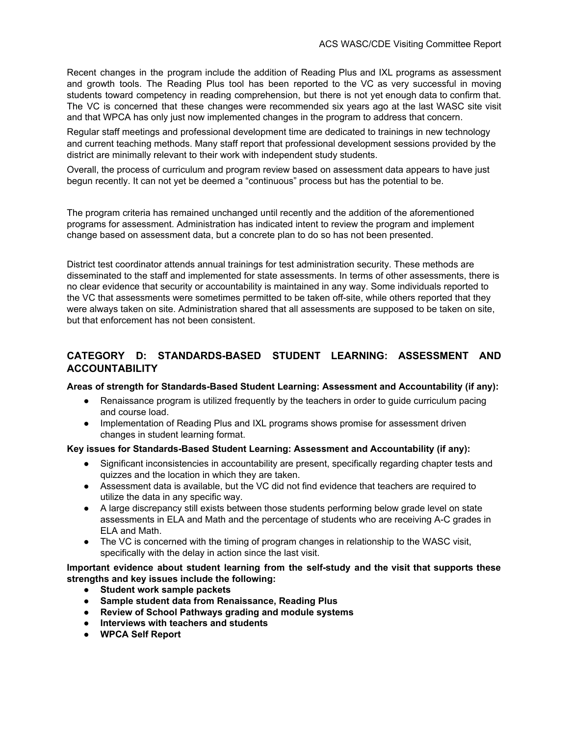Recent changes in the program include the addition of Reading Plus and IXL programs as assessment and growth tools. The Reading Plus tool has been reported to the VC as very successful in moving students toward competency in reading comprehension, but there is not yet enough data to confirm that. The VC is concerned that these changes were recommended six years ago at the last WASC site visit and that WPCA has only just now implemented changes in the program to address that concern.

Regular staff meetings and professional development time are dedicated to trainings in new technology and current teaching methods. Many staff report that professional development sessions provided by the district are minimally relevant to their work with independent study students.

Overall, the process of curriculum and program review based on assessment data appears to have just begun recently. It can not yet be deemed a "continuous" process but has the potential to be.

The program criteria has remained unchanged until recently and the addition of the aforementioned programs for assessment. Administration has indicated intent to review the program and implement change based on assessment data, but a concrete plan to do so has not been presented.

District test coordinator attends annual trainings for test administration security. These methods are disseminated to the staff and implemented for state assessments. In terms of other assessments, there is no clear evidence that security or accountability is maintained in any way. Some individuals reported to the VC that assessments were sometimes permitted to be taken off-site, while others reported that they were always taken on site. Administration shared that all assessments are supposed to be taken on site, but that enforcement has not been consistent.

#### **CATEGORY D: STANDARDS-BASED STUDENT LEARNING: ASSESSMENT AND ACCOUNTABILITY**

#### **Areas of strength for Standards-Based Student Learning: Assessment and Accountability (if any):**

- Renaissance program is utilized frequently by the teachers in order to guide curriculum pacing and course load.
- Implementation of Reading Plus and IXL programs shows promise for assessment driven changes in student learning format.

#### **Key issues for Standards-Based Student Learning: Assessment and Accountability (if any):**

- Significant inconsistencies in accountability are present, specifically regarding chapter tests and quizzes and the location in which they are taken.
- Assessment data is available, but the VC did not find evidence that teachers are required to utilize the data in any specific way.
- A large discrepancy still exists between those students performing below grade level on state assessments in ELA and Math and the percentage of students who are receiving A-C grades in ELA and Math.
- The VC is concerned with the timing of program changes in relationship to the WASC visit, specifically with the delay in action since the last visit.

**Important evidence about student learning from the self-study and the visit that supports these strengths and key issues include the following:**

- **● Student work sample packets**
- **● Sample student data from Renaissance, Reading Plus**
- **● Review of School Pathways grading and module systems**
- **● Interviews with teachers and students**
- **● WPCA Self Report**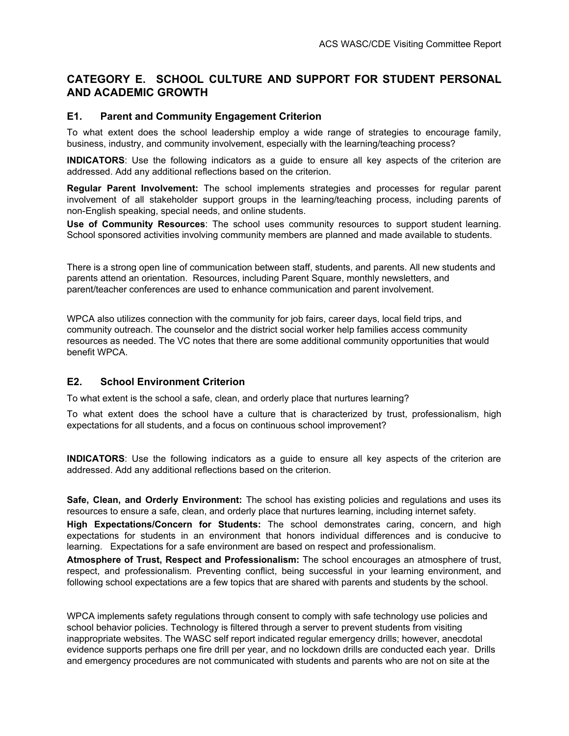## **CATEGORY E. SCHOOL CULTURE AND SUPPORT FOR STUDENT PERSONAL AND ACADEMIC GROWTH**

#### **E1. Parent and Community Engagement Criterion**

To what extent does the school leadership employ a wide range of strategies to encourage family, business, industry, and community involvement, especially with the learning/teaching process?

**INDICATORS**: Use the following indicators as a guide to ensure all key aspects of the criterion are addressed. Add any additional reflections based on the criterion.

**Regular Parent Involvement:** The school implements strategies and processes for regular parent involvement of all stakeholder support groups in the learning/teaching process, including parents of non-English speaking, special needs, and online students.

**Use of Community Resources**: The school uses community resources to support student learning. School sponsored activities involving community members are planned and made available to students.

There is a strong open line of communication between staff, students, and parents. All new students and parents attend an orientation. Resources, including Parent Square, monthly newsletters, and parent/teacher conferences are used to enhance communication and parent involvement.

WPCA also utilizes connection with the community for job fairs, career days, local field trips, and community outreach. The counselor and the district social worker help families access community resources as needed. The VC notes that there are some additional community opportunities that would benefit WPCA.

#### **E2. School Environment Criterion**

To what extent is the school a safe, clean, and orderly place that nurtures learning?

To what extent does the school have a culture that is characterized by trust, professionalism, high expectations for all students, and a focus on continuous school improvement?

**INDICATORS**: Use the following indicators as a guide to ensure all key aspects of the criterion are addressed. Add any additional reflections based on the criterion.

**Safe, Clean, and Orderly Environment:** The school has existing policies and regulations and uses its resources to ensure a safe, clean, and orderly place that nurtures learning, including internet safety.

**High Expectations/Concern for Students:** The school demonstrates caring, concern, and high expectations for students in an environment that honors individual differences and is conducive to learning. Expectations for a safe environment are based on respect and professionalism.

**Atmosphere of Trust, Respect and Professionalism:** T he school encourages an atmosphere of trust, respect, and professionalism. Preventing conflict, being successful in your learning environment, and following school expectations are a few topics that are shared with parents and students by the school.

WPCA implements safety regulations through consent to comply with safe technology use policies and school behavior policies. Technology is filtered through a server to prevent students from visiting inappropriate websites. The WASC self report indicated regular emergency drills; however, anecdotal evidence supports perhaps one fire drill per year, and no lockdown drills are conducted each year. Drills and emergency procedures are not communicated with students and parents who are not on site at the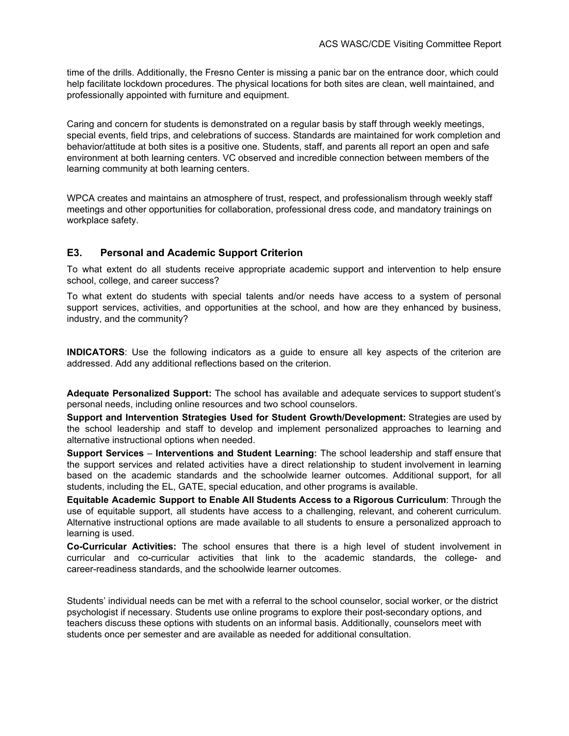time of the drills. Additionally, the Fresno Center is missing a panic bar on the entrance door, which could help facilitate lockdown procedures. The physical locations for both sites are clean, well maintained, and professionally appointed with furniture and equipment.

Caring and concern for students is demonstrated on a regular basis by staff through weekly meetings, special events, field trips, and celebrations of success. Standards are maintained for work completion and behavior/attitude at both sites is a positive one. Students, staff, and parents all report an open and safe environment at both learning centers. VC observed and incredible connection between members of the learning community at both learning centers.

WPCA creates and maintains an atmosphere of trust, respect, and professionalism through weekly staff meetings and other opportunities for collaboration, professional dress code, and mandatory trainings on workplace safety.

#### **E3. Personal and Academic Support Criterion**

To what extent do all students receive appropriate academic support and intervention to help ensure school, college, and career success?

To what extent do students with special talents and/or needs have access to a system of personal support services, activities, and opportunities at the school, and how are they enhanced by business, industry, and the community?

**INDICATORS**: Use the following indicators as a guide to ensure all key aspects of the criterion are addressed. Add any additional reflections based on the criterion.

**Adequate Personalized Support:** The school has available and adequate services to support student's personal needs, including online resources and two school counselors.

**Support and Intervention Strategies Used for Student Growth/Development:** Strategies are used by the school leadership and staff to develop and implement personalized approaches to learning and alternative instructional options when needed.

**Support Services** – **Interventions and Student Learning:** The school leadership and staff ensure that the support services and related activities have a direct relationship to student involvement in learning based on the academic standards and the schoolwide learner outcomes. Additional support, for all students, including the EL, GATE, special education, and other programs is available.

**Equitable Academic Support to Enable All Students Access to a Rigorous Curriculum**: Through the use of equitable support, all students have access to a challenging, relevant, and coherent curriculum. Alternative instructional options are made available to all students to ensure a personalized approach to learning is used.

**Co-Curricular Activities:** The school ensures that there is a high level of student involvement in curricular and co-curricular activities that link to the academic standards, the college- and career-readiness standards, and the schoolwide learner outcomes.

Students' individual needs can be met with a referral to the school counselor, social worker, or the district psychologist if necessary. Students use online programs to explore their post-secondary options, and teachers discuss these options with students on an informal basis. Additionally, counselors meet with students once per semester and are available as needed for additional consultation.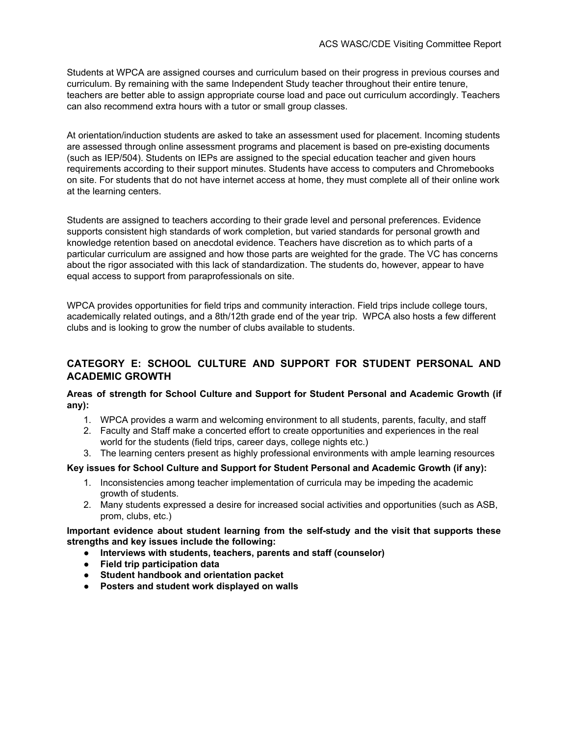Students at WPCA are assigned courses and curriculum based on their progress in previous courses and curriculum. By remaining with the same Independent Study teacher throughout their entire tenure, teachers are better able to assign appropriate course load and pace out curriculum accordingly. Teachers can also recommend extra hours with a tutor or small group classes.

At orientation/induction students are asked to take an assessment used for placement. Incoming students are assessed through online assessment programs and placement is based on pre-existing documents (such as IEP/504). Students on IEPs are assigned to the special education teacher and given hours requirements according to their support minutes. Students have access to computers and Chromebooks on site. For students that do not have internet access at home, they must complete all of their online work at the learning centers.

Students are assigned to teachers according to their grade level and personal preferences. Evidence supports consistent high standards of work completion, but varied standards for personal growth and knowledge retention based on anecdotal evidence. Teachers have discretion as to which parts of a particular curriculum are assigned and how those parts are weighted for the grade. The VC has concerns about the rigor associated with this lack of standardization. The students do, however, appear to have equal access to support from paraprofessionals on site.

WPCA provides opportunities for field trips and community interaction. Field trips include college tours, academically related outings, and a 8th/12th grade end of the year trip. WPCA also hosts a few different clubs and is looking to grow the number of clubs available to students.

## **CATEGORY E: SCHOOL CULTURE AND SUPPORT FOR STUDENT PERSONAL AND ACADEMIC GROWTH**

#### **Areas of strength for School Culture and Support for Student Personal and Academic Growth (if any):**

- 1. WPCA provides a warm and welcoming environment to all students, parents, faculty, and staff
- 2. Faculty and Staff make a concerted effort to create opportunities and experiences in the real world for the students (field trips, career days, college nights etc.)
- 3. The learning centers present as highly professional environments with ample learning resources

#### **Key issues for School Culture and Support for Student Personal and Academic Growth (if any):**

- 1. Inconsistencies among teacher implementation of curricula may be impeding the academic growth of students.
- 2. Many students expressed a desire for increased social activities and opportunities (such as ASB, prom, clubs, etc.)

**Important evidence about student learning from the self-study and the visit that supports these strengths and key issues include the following:**

- **● Interviews with students, teachers, parents and staff (counselor)**
- **● Field trip participation data**
- **● Student handbook and orientation packet**
- **● Posters and student work displayed on walls**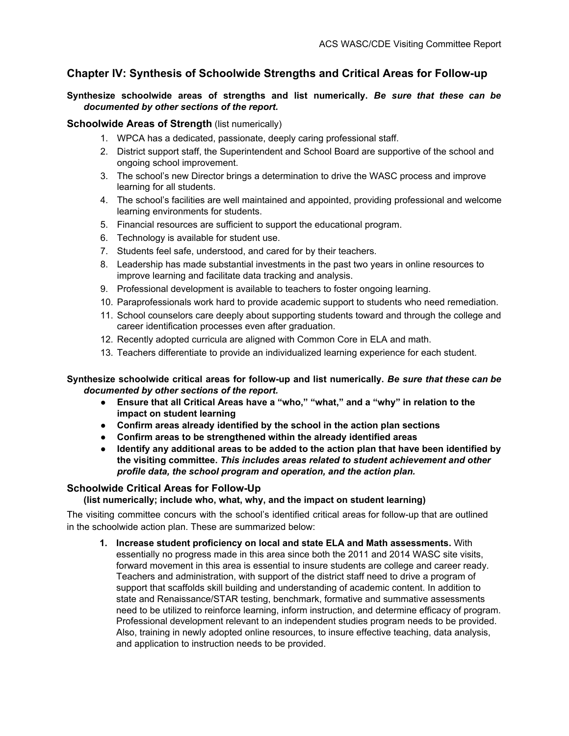## **Chapter IV: Synthesis of Schoolwide Strengths and Critical Areas for Follow-up**

**Synthesize schoolwide areas of strengths and list numerically.** *Be sure that these can be documented by other sections of the report.*

#### **Schoolwide Areas of Strength** (list numerically)

- 1. WPCA has a dedicated, passionate, deeply caring professional staff.
- 2. District support staff, the Superintendent and School Board are supportive of the school and ongoing school improvement.
- 3. The school's new Director brings a determination to drive the WASC process and improve learning for all students.
- 4. The school's facilities are well maintained and appointed, providing professional and welcome learning environments for students.
- 5. Financial resources are sufficient to support the educational program.
- 6. Technology is available for student use.
- 7. Students feel safe, understood, and cared for by their teachers.
- 8. Leadership has made substantial investments in the past two years in online resources to improve learning and facilitate data tracking and analysis.
- 9. Professional development is available to teachers to foster ongoing learning.
- 10. Paraprofessionals work hard to provide academic support to students who need remediation.
- 11. School counselors care deeply about supporting students toward and through the college and career identification processes even after graduation.
- 12. Recently adopted curricula are aligned with Common Core in ELA and math.
- 13. Teachers differentiate to provide an individualized learning experience for each student.

#### **Synthesize schoolwide critical areas for follow-up and list numerically.** *Be sure that these can be documented by other sections of the report.*

- **Ensure that all Critical Areas have a "who," "what," and a "why" in relation to the impact on student learning**
- **Confirm areas already identified by the school in the action plan sections**
- **Confirm areas to be strengthened within the already identified areas**
- **Identify any additional areas to be added to the action plan that have been identified by the visiting committee.** *This includes areas related to student achievement and other profile data, the school program and operation, and the action plan.*

#### **Schoolwide Critical Areas for Follow-Up**

**(list numerically; include who, what, why, and the impact on student learning)**

The visiting committee concurs with the school's identified critical areas for follow-up that are outlined in the schoolwide action plan. These are summarized below:

**1. Increase student proficiency on local and state ELA and Math assessments.** With essentially no progress made in this area since both the 2011 and 2014 WASC site visits, forward movement in this area is essential to insure students are college and career ready. Teachers and administration, with support of the district staff need to drive a program of support that scaffolds skill building and understanding of academic content. In addition to state and Renaissance/STAR testing, benchmark, formative and summative assessments need to be utilized to reinforce learning, inform instruction, and determine efficacy of program. Professional development relevant to an independent studies program needs to be provided. Also, training in newly adopted online resources, to insure effective teaching, data analysis, and application to instruction needs to be provided.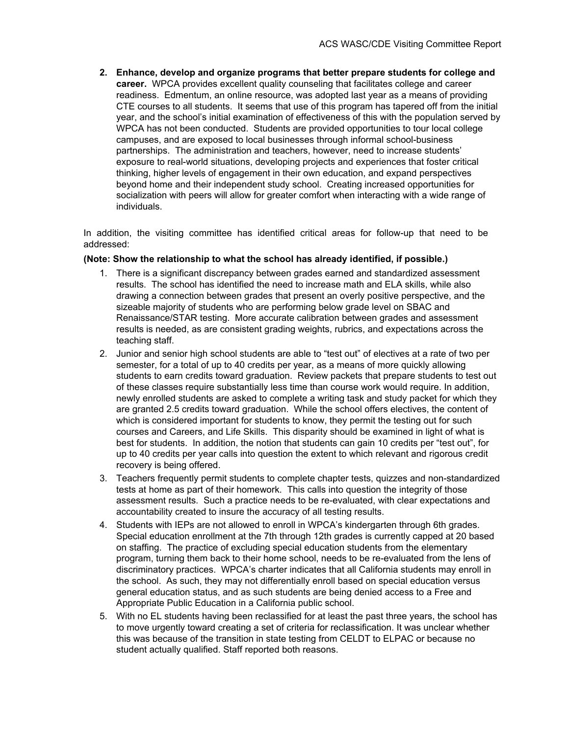**2. Enhance, develop and organize programs that better prepare students for college and career.** WPCA provides excellent quality counseling that facilitates college and career readiness. Edmentum, an online resource, was adopted last year as a means of providing CTE courses to all students. It seems that use of this program has tapered off from the initial year, and the school's initial examination of effectiveness of this with the population served by WPCA has not been conducted. Students are provided opportunities to tour local college campuses, and are exposed to local businesses through informal school-business partnerships. The administration and teachers, however, need to increase students' exposure to real-world situations, developing projects and experiences that foster critical thinking, higher levels of engagement in their own education, and expand perspectives beyond home and their independent study school. Creating increased opportunities for socialization with peers will allow for greater comfort when interacting with a wide range of individuals.

In addition, the visiting committee has identified critical areas for follow-up that need to be addressed:

#### **(Note: Show the relationship to what the school has already identified, if possible.)**

- 1. There is a significant discrepancy between grades earned and standardized assessment results. The school has identified the need to increase math and ELA skills, while also drawing a connection between grades that present an overly positive perspective, and the sizeable majority of students who are performing below grade level on SBAC and Renaissance/STAR testing. More accurate calibration between grades and assessment results is needed, as are consistent grading weights, rubrics, and expectations across the teaching staff.
- 2. Junior and senior high school students are able to "test out" of electives at a rate of two per semester, for a total of up to 40 credits per year, as a means of more quickly allowing students to earn credits toward graduation. Review packets that prepare students to test out of these classes require substantially less time than course work would require. In addition, newly enrolled students are asked to complete a writing task and study packet for which they are granted 2.5 credits toward graduation. While the school offers electives, the content of which is considered important for students to know, they permit the testing out for such courses and Careers, and Life Skills. This disparity should be examined in light of what is best for students. In addition, the notion that students can gain 10 credits per "test out", for up to 40 credits per year calls into question the extent to which relevant and rigorous credit recovery is being offered.
- 3. Teachers frequently permit students to complete chapter tests, quizzes and non-standardized tests at home as part of their homework. This calls into question the integrity of those assessment results. Such a practice needs to be re-evaluated, with clear expectations and accountability created to insure the accuracy of all testing results.
- 4. Students with IEPs are not allowed to enroll in WPCA's kindergarten through 6th grades. Special education enrollment at the 7th through 12th grades is currently capped at 20 based on staffing. The practice of excluding special education students from the elementary program, turning them back to their home school, needs to be re-evaluated from the lens of discriminatory practices. WPCA's charter indicates that all California students may enroll in the school. As such, they may not differentially enroll based on special education versus general education status, and as such students are being denied access to a Free and Appropriate Public Education in a California public school.
- 5. With no EL students having been reclassified for at least the past three years, the school has to move urgently toward creating a set of criteria for reclassification. It was unclear whether this was because of the transition in state testing from CELDT to ELPAC or because no student actually qualified. Staff reported both reasons.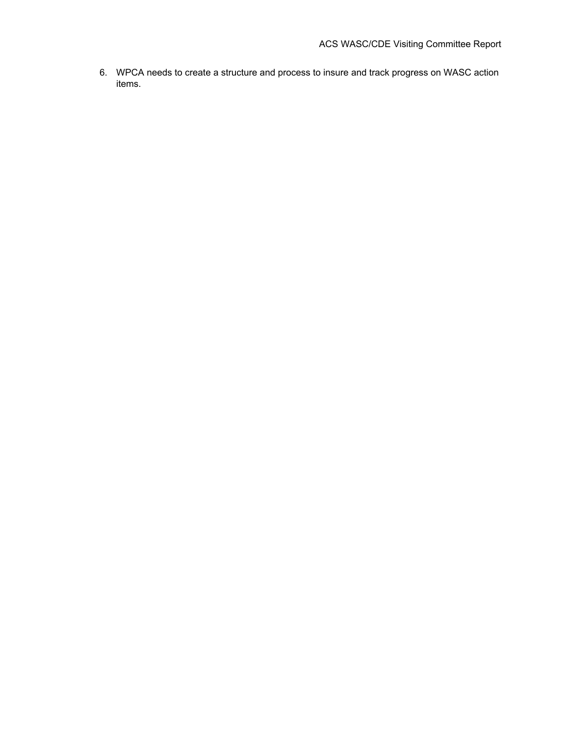6. WPCA needs to create a structure and process to insure and track progress on WASC action items.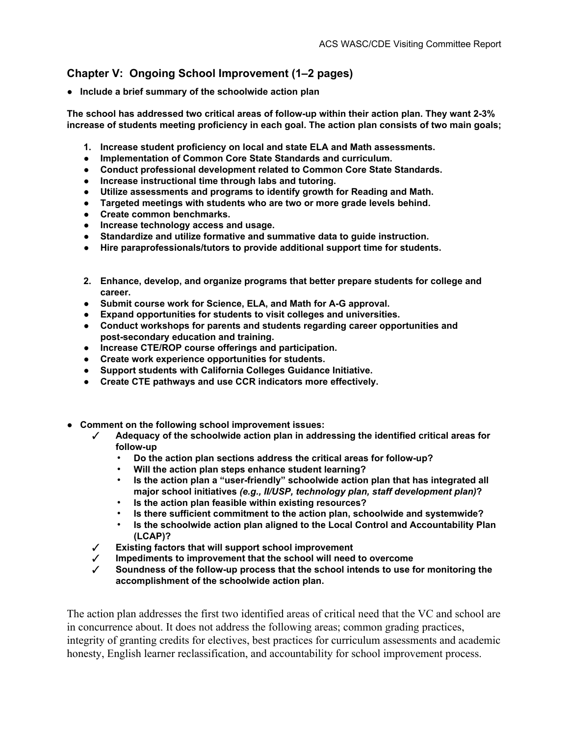## **Chapter V: Ongoing School Improvement (1–2 pages)**

● **Include a brief summary of the schoolwide action plan**

**The school has addressed two critical areas of follow-up within their action plan. They want 2-3% increase of students meeting proficiency in each goal. The action plan consists of two main goals;**

- **1. Increase student proficiency on local and state ELA and Math assessments.**
- **● Implementation of Common Core State Standards and curriculum.**
- **● Conduct professional development related to Common Core State Standards.**
- **● Increase instructional time through labs and tutoring.**
- **● Utilize assessments and programs to identify growth for Reading and Math.**
- **● Targeted meetings with students who are two or more grade levels behind.**
- **● Create common benchmarks.**
- **● Increase technology access and usage.**
- **● Standardize and utilize formative and summative data to guide instruction.**
- **● Hire paraprofessionals/tutors to provide additional support time for students.**
- **2. Enhance, develop, and organize programs that better prepare students for college and career.**
- **● Submit course work for Science, ELA, and Math for A-G approval.**
- **● Expand opportunities for students to visit colleges and universities.**
- **● Conduct workshops for parents and students regarding career opportunities and post-secondary education and training.**
- **● Increase CTE/ROP course offerings and participation.**
- **● Create work experience opportunities for students.**
- **● Support students with California Colleges Guidance Initiative.**
- **● Create CTE pathways and use CCR indicators more effectively.**
- **Comment on the following school improvement issues:**
	- ✓ **Adequacy of the schoolwide action plan in addressing the identified critical areas for follow-up**
		- **Do the action plan sections address the critical areas for follow-up?**
		- **Will the action plan steps enhance student learning?**
		- **Is the action plan a "user-friendly" schoolwide action plan that has integrated all major school initiatives** *(e.g., II/USP, technology plan, staff development plan)***?**
		- **Is the action plan feasible within existing resources?**
		- **Is there sufficient commitment to the action plan, schoolwide and systemwide?**
		- **Is the schoolwide action plan aligned to the Local Control and Accountability Plan (LCAP)?**
	- ✓ **Existing factors that will support school improvement**
	- ✓ **Impediments to improvement that the school will need to overcome**
	- ✓ **Soundness of the follow-up process that the school intends to use for monitoring the accomplishment of the schoolwide action plan.**

The action plan addresses the first two identified areas of critical need that the VC and school are in concurrence about. It does not address the following areas; common grading practices, integrity of granting credits for electives, best practices for curriculum assessments and academic honesty, English learner reclassification, and accountability for school improvement process.